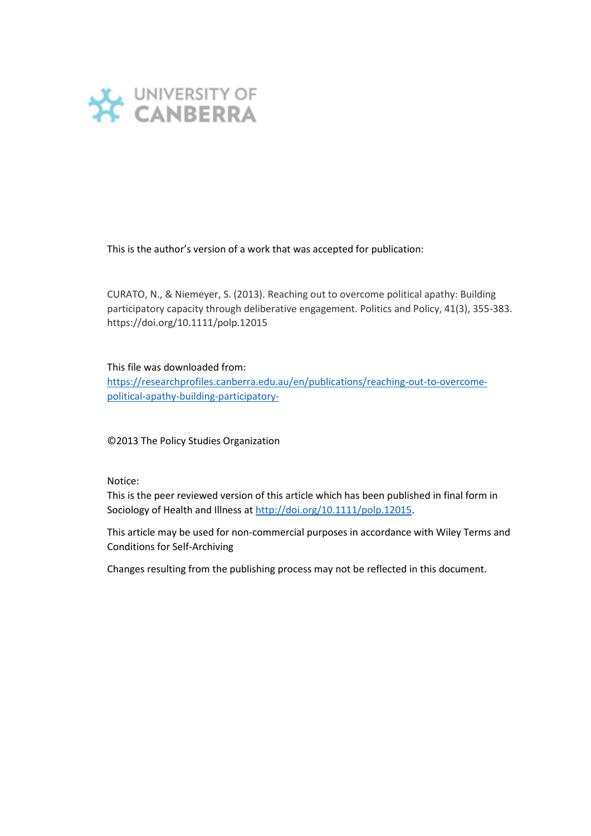

This is the author's version of a work that was accepted for publication:

CURATO, N., & Niemeyer, S. (2013). Reaching out to overcome political apathy: Building participatory capacity through deliberative engagement. Politics and Policy, 41(3), 355-383. https://doi.org/10.1111/polp.12015

#### This file was downloaded from:

[https://researchprofiles.canberra.edu.au/en/publications/reaching-out-to-overcome](https://researchprofiles.canberra.edu.au/en/publications/reaching-out-to-overcome-political-apathy-building-participatory-)[political-apathy-building-participatory-](https://researchprofiles.canberra.edu.au/en/publications/reaching-out-to-overcome-political-apathy-building-participatory-)

©2013 The Policy Studies Organization

Notice:

This is the peer reviewed version of this article which has been published in final form in Sociology of Health and Illness a[t http://doi.org/10.1111/polp.12015.](http://doi.org/10.1111/polp.12015)

This article may be used for non-commercial purposes in accordance with Wiley Terms and Conditions for Self-Archiving

Changes resulting from the publishing process may not be reflected in this document.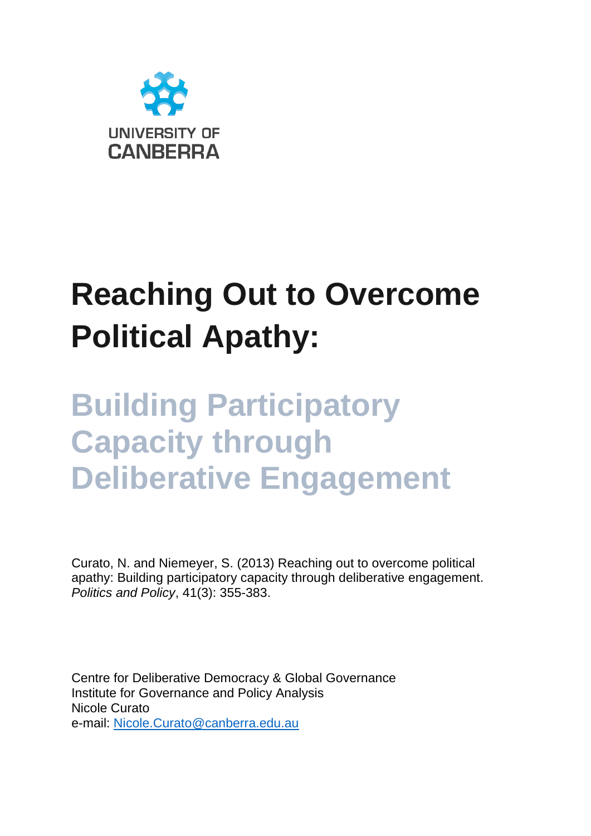

# **Reaching Out to Overcome Political Apathy:**

## **Building Participatory Capacity through Deliberative Engagement**

Curato, N. and Niemeyer, S. (2013) Reaching out to overcome political apathy: Building participatory capacity through deliberative engagement. *Politics and Policy*, 41(3): 355-383.

Centre for Deliberative Democracy & Global Governance Institute for Governance and Policy Analysis Nicole Curato e-mail: [Nicole.Curato@canberra.edu.au](mailto:Nicole.Curato@canberra.edu.au)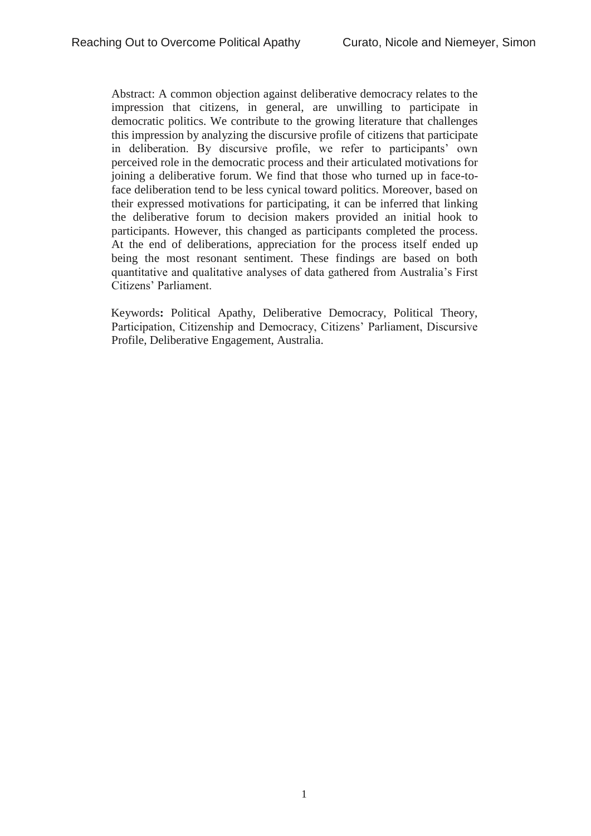Abstract: A common objection against deliberative democracy relates to the impression that citizens, in general, are unwilling to participate in democratic politics. We contribute to the growing literature that challenges this impression by analyzing the discursive profile of citizens that participate in deliberation. By discursive profile, we refer to participants' own perceived role in the democratic process and their articulated motivations for joining a deliberative forum. We find that those who turned up in face-toface deliberation tend to be less cynical toward politics. Moreover, based on their expressed motivations for participating, it can be inferred that linking the deliberative forum to decision makers provided an initial hook to participants. However, this changed as participants completed the process. At the end of deliberations, appreciation for the process itself ended up being the most resonant sentiment. These findings are based on both quantitative and qualitative analyses of data gathered from Australia's First Citizens' Parliament.

Keywords**:** Political Apathy, Deliberative Democracy, Political Theory, Participation, Citizenship and Democracy, Citizens' Parliament, Discursive Profile, Deliberative Engagement, Australia.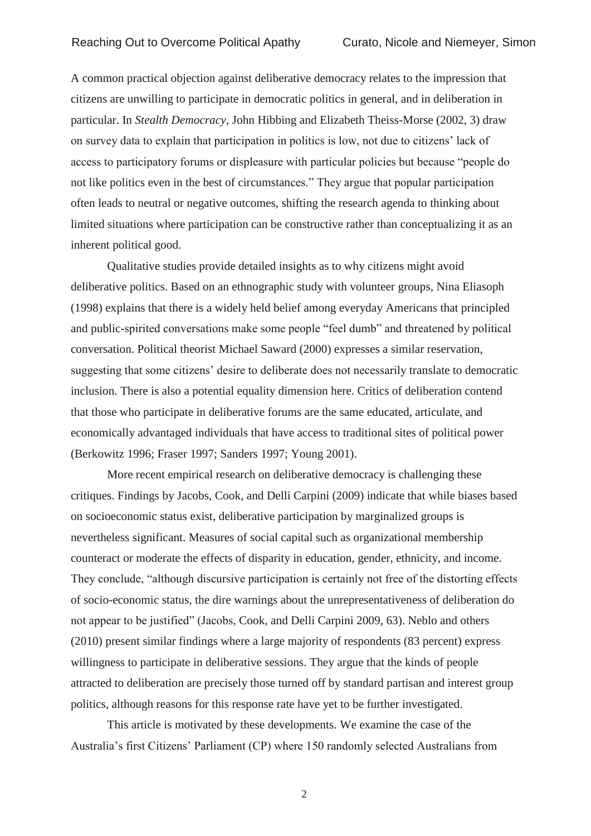A common practical objection against deliberative democracy relates to the impression that citizens are unwilling to participate in democratic politics in general, and in deliberation in particular. In *Stealth Democracy*, John Hibbing and Elizabeth Theiss-Morse (2002, 3) draw on survey data to explain that participation in politics is low, not due to citizens' lack of access to participatory forums or displeasure with particular policies but because "people do not like politics even in the best of circumstances." They argue that popular participation often leads to neutral or negative outcomes, shifting the research agenda to thinking about limited situations where participation can be constructive rather than conceptualizing it as an inherent political good.

Qualitative studies provide detailed insights as to why citizens might avoid deliberative politics. Based on an ethnographic study with volunteer groups, Nina Eliasoph (1998) explains that there is a widely held belief among everyday Americans that principled and public-spirited conversations make some people "feel dumb" and threatened by political conversation. Political theorist Michael Saward (2000) expresses a similar reservation, suggesting that some citizens' desire to deliberate does not necessarily translate to democratic inclusion. There is also a potential equality dimension here. Critics of deliberation contend that those who participate in deliberative forums are the same educated, articulate, and economically advantaged individuals that have access to traditional sites of political power (Berkowitz 1996; Fraser 1997; Sanders 1997; Young 2001).

More recent empirical research on deliberative democracy is challenging these critiques. Findings by Jacobs, Cook, and Delli Carpini (2009) indicate that while biases based on socioeconomic status exist, deliberative participation by marginalized groups is nevertheless significant. Measures of social capital such as organizational membership counteract or moderate the effects of disparity in education, gender, ethnicity, and income. They conclude, "although discursive participation is certainly not free of the distorting effects of socio-economic status, the dire warnings about the unrepresentativeness of deliberation do not appear to be justified" (Jacobs, Cook, and Delli Carpini 2009, 63). Neblo and others (2010) present similar findings where a large majority of respondents (83 percent) express willingness to participate in deliberative sessions. They argue that the kinds of people attracted to deliberation are precisely those turned off by standard partisan and interest group politics, although reasons for this response rate have yet to be further investigated.

This article is motivated by these developments. We examine the case of the Australia's first Citizens' Parliament (CP) where 150 randomly selected Australians from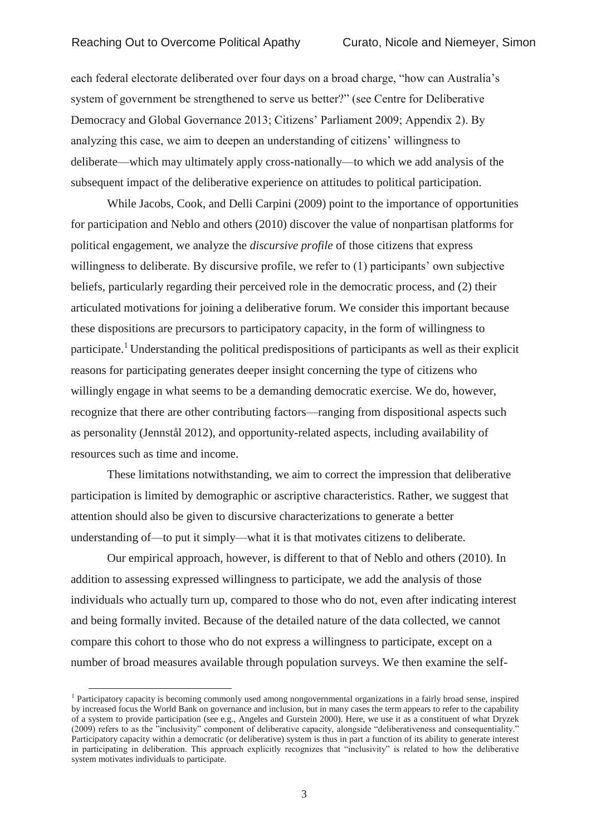each federal electorate deliberated over four days on a broad charge, "how can Australia's system of government be strengthened to serve us better?" (see Centre for Deliberative Democracy and Global Governance 2013; Citizens' Parliament 2009; Appendix 2). By analyzing this case, we aim to deepen an understanding of citizens' willingness to deliberate—which may ultimately apply cross-nationally—to which we add analysis of the subsequent impact of the deliberative experience on attitudes to political participation.

While Jacobs, Cook, and Delli Carpini (2009) point to the importance of opportunities for participation and Neblo and others (2010) discover the value of nonpartisan platforms for political engagement, we analyze the *discursive profile* of those citizens that express willingness to deliberate. By discursive profile, we refer to (1) participants' own subjective beliefs, particularly regarding their perceived role in the democratic process, and (2) their articulated motivations for joining a deliberative forum. We consider this important because these dispositions are precursors to participatory capacity, in the form of willingness to participate.<sup>1</sup> Understanding the political predispositions of participants as well as their explicit reasons for participating generates deeper insight concerning the type of citizens who willingly engage in what seems to be a demanding democratic exercise. We do, however, recognize that there are other contributing factors—ranging from dispositional aspects such as personality (Jennstål 2012), and opportunity-related aspects, including availability of resources such as time and income.

These limitations notwithstanding, we aim to correct the impression that deliberative participation is limited by demographic or ascriptive characteristics. Rather, we suggest that attention should also be given to discursive characterizations to generate a better understanding of—to put it simply—what it is that motivates citizens to deliberate.

Our empirical approach, however, is different to that of Neblo and others (2010). In addition to assessing expressed willingness to participate, we add the analysis of those individuals who actually turn up, compared to those who do not, even after indicating interest and being formally invited. Because of the detailed nature of the data collected, we cannot compare this cohort to those who do not express a willingness to participate, except on a number of broad measures available through population surveys. We then examine the self-

 $\overline{a}$ 

<sup>&</sup>lt;sup>1</sup> Participatory capacity is becoming commonly used among nongovernmental organizations in a fairly broad sense, inspired by increased focus the World Bank on governance and inclusion, but in many cases the term appears to refer to the capability of a system to provide participation (see e.g., Angeles and Gurstein 2000). Here, we use it as a constituent of what Dryzek (2009) refers to as the "inclusivity" component of deliberative capacity, alongside "deliberativeness and consequentiality." Participatory capacity within a democratic (or deliberative) system is thus in part a function of its ability to generate interest in participating in deliberation. This approach explicitly recognizes that "inclusivity" is related to how the deliberative system motivates individuals to participate.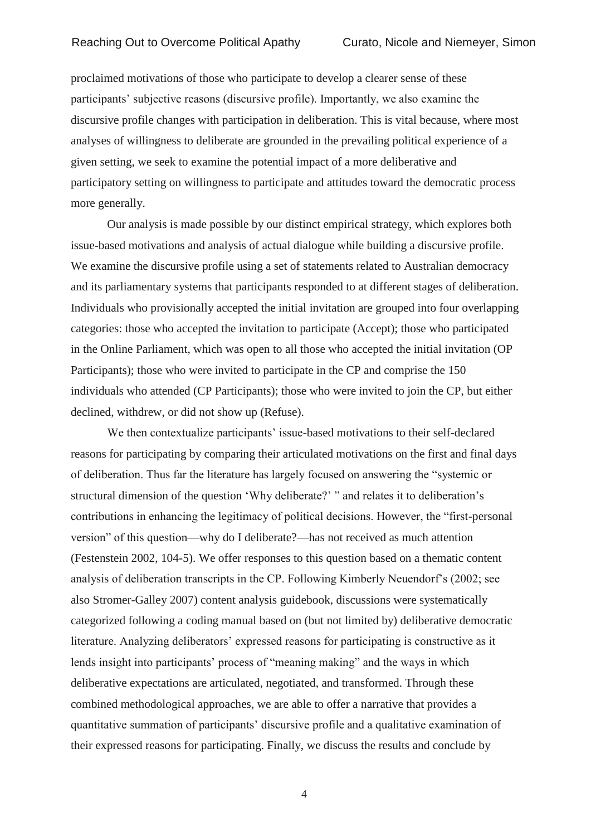proclaimed motivations of those who participate to develop a clearer sense of these participants' subjective reasons (discursive profile). Importantly, we also examine the discursive profile changes with participation in deliberation. This is vital because, where most analyses of willingness to deliberate are grounded in the prevailing political experience of a given setting, we seek to examine the potential impact of a more deliberative and participatory setting on willingness to participate and attitudes toward the democratic process more generally.

Our analysis is made possible by our distinct empirical strategy, which explores both issue-based motivations and analysis of actual dialogue while building a discursive profile. We examine the discursive profile using a set of statements related to Australian democracy and its parliamentary systems that participants responded to at different stages of deliberation. Individuals who provisionally accepted the initial invitation are grouped into four overlapping categories: those who accepted the invitation to participate (Accept); those who participated in the Online Parliament, which was open to all those who accepted the initial invitation (OP Participants); those who were invited to participate in the CP and comprise the 150 individuals who attended (CP Participants); those who were invited to join the CP, but either declined, withdrew, or did not show up (Refuse).

We then contextualize participants' issue-based motivations to their self-declared reasons for participating by comparing their articulated motivations on the first and final days of deliberation. Thus far the literature has largely focused on answering the "systemic or structural dimension of the question 'Why deliberate?' " and relates it to deliberation's contributions in enhancing the legitimacy of political decisions. However, the "first-personal version" of this question—why do I deliberate?—has not received as much attention (Festenstein 2002, 104-5). We offer responses to this question based on a thematic content analysis of deliberation transcripts in the CP. Following Kimberly Neuendorf's (2002; see also Stromer-Galley 2007) content analysis guidebook, discussions were systematically categorized following a coding manual based on (but not limited by) deliberative democratic literature. Analyzing deliberators' expressed reasons for participating is constructive as it lends insight into participants' process of "meaning making" and the ways in which deliberative expectations are articulated, negotiated, and transformed. Through these combined methodological approaches, we are able to offer a narrative that provides a quantitative summation of participants' discursive profile and a qualitative examination of their expressed reasons for participating. Finally, we discuss the results and conclude by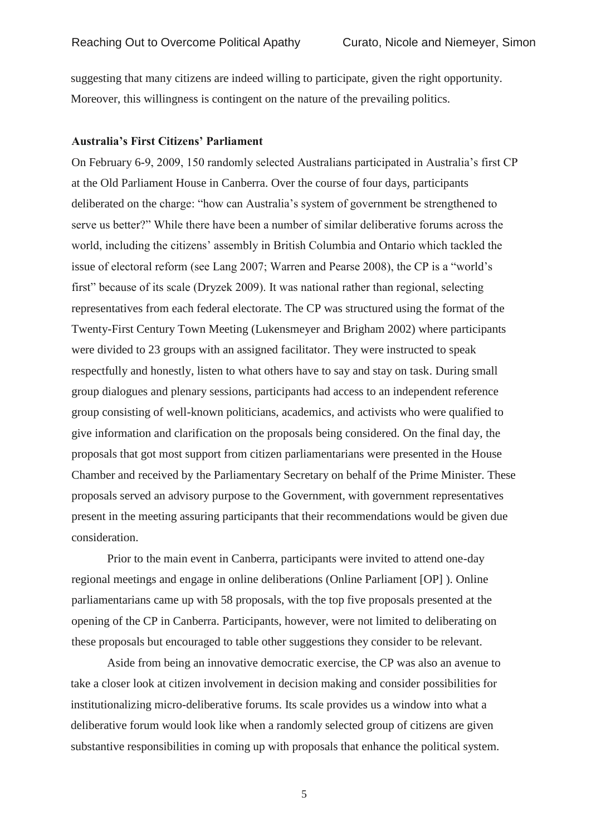suggesting that many citizens are indeed willing to participate, given the right opportunity. Moreover, this willingness is contingent on the nature of the prevailing politics.

## **Australia's First Citizens' Parliament**

On February 6-9, 2009, 150 randomly selected Australians participated in Australia's first CP at the Old Parliament House in Canberra. Over the course of four days, participants deliberated on the charge: "how can Australia's system of government be strengthened to serve us better?" While there have been a number of similar deliberative forums across the world, including the citizens' assembly in British Columbia and Ontario which tackled the issue of electoral reform (see Lang 2007; Warren and Pearse 2008), the CP is a "world's first" because of its scale (Dryzek 2009). It was national rather than regional, selecting representatives from each federal electorate. The CP was structured using the format of the Twenty-First Century Town Meeting (Lukensmeyer and Brigham 2002) where participants were divided to 23 groups with an assigned facilitator. They were instructed to speak respectfully and honestly, listen to what others have to say and stay on task. During small group dialogues and plenary sessions, participants had access to an independent reference group consisting of well-known politicians, academics, and activists who were qualified to give information and clarification on the proposals being considered. On the final day, the proposals that got most support from citizen parliamentarians were presented in the House Chamber and received by the Parliamentary Secretary on behalf of the Prime Minister. These proposals served an advisory purpose to the Government, with government representatives present in the meeting assuring participants that their recommendations would be given due consideration.

Prior to the main event in Canberra, participants were invited to attend one-day regional meetings and engage in online deliberations (Online Parliament [OP] ). Online parliamentarians came up with 58 proposals, with the top five proposals presented at the opening of the CP in Canberra. Participants, however, were not limited to deliberating on these proposals but encouraged to table other suggestions they consider to be relevant.

Aside from being an innovative democratic exercise, the CP was also an avenue to take a closer look at citizen involvement in decision making and consider possibilities for institutionalizing micro-deliberative forums. Its scale provides us a window into what a deliberative forum would look like when a randomly selected group of citizens are given substantive responsibilities in coming up with proposals that enhance the political system.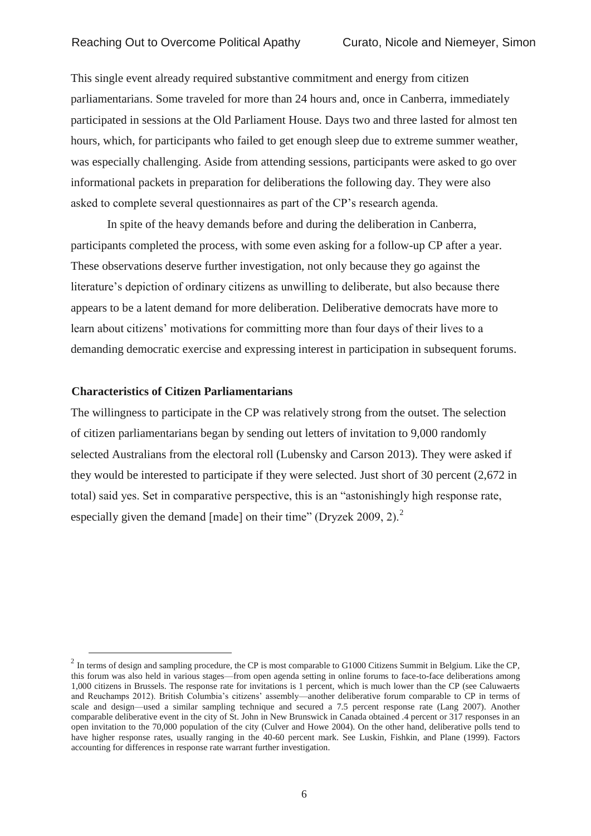This single event already required substantive commitment and energy from citizen parliamentarians. Some traveled for more than 24 hours and, once in Canberra, immediately participated in sessions at the Old Parliament House. Days two and three lasted for almost ten hours, which, for participants who failed to get enough sleep due to extreme summer weather, was especially challenging. Aside from attending sessions, participants were asked to go over informational packets in preparation for deliberations the following day. They were also asked to complete several questionnaires as part of the CP's research agenda.

In spite of the heavy demands before and during the deliberation in Canberra, participants completed the process, with some even asking for a follow-up CP after a year. These observations deserve further investigation, not only because they go against the literature's depiction of ordinary citizens as unwilling to deliberate, but also because there appears to be a latent demand for more deliberation. Deliberative democrats have more to learn about citizens' motivations for committing more than four days of their lives to a demanding democratic exercise and expressing interest in participation in subsequent forums.

## **Characteristics of Citizen Parliamentarians**

 $\overline{a}$ 

The willingness to participate in the CP was relatively strong from the outset. The selection of citizen parliamentarians began by sending out letters of invitation to 9,000 randomly selected Australians from the electoral roll (Lubensky and Carson 2013). They were asked if they would be interested to participate if they were selected. Just short of 30 percent (2,672 in total) said yes. Set in comparative perspective, this is an "astonishingly high response rate, especially given the demand [made] on their time" (Dryzek 2009, 2). $^2$ 

 $2 \text{ In terms of design and sampling procedure, the CP is most comparable to G1000 Citizens Summit in Belgium. Like the CP, }$ this forum was also held in various stages—from open agenda setting in online forums to face-to-face deliberations among 1,000 citizens in Brussels. The response rate for invitations is 1 percent, which is much lower than the CP (see Caluwaerts and Reuchamps 2012). British Columbia's citizens' assembly—another deliberative forum comparable to CP in terms of scale and design—used a similar sampling technique and secured a 7.5 percent response rate (Lang 2007). Another comparable deliberative event in the city of St. John in New Brunswick in Canada obtained .4 percent or 317 responses in an open invitation to the 70,000 population of the city (Culver and Howe 2004). On the other hand, deliberative polls tend to have higher response rates, usually ranging in the 40-60 percent mark. See Luskin, Fishkin, and Plane (1999). Factors accounting for differences in response rate warrant further investigation.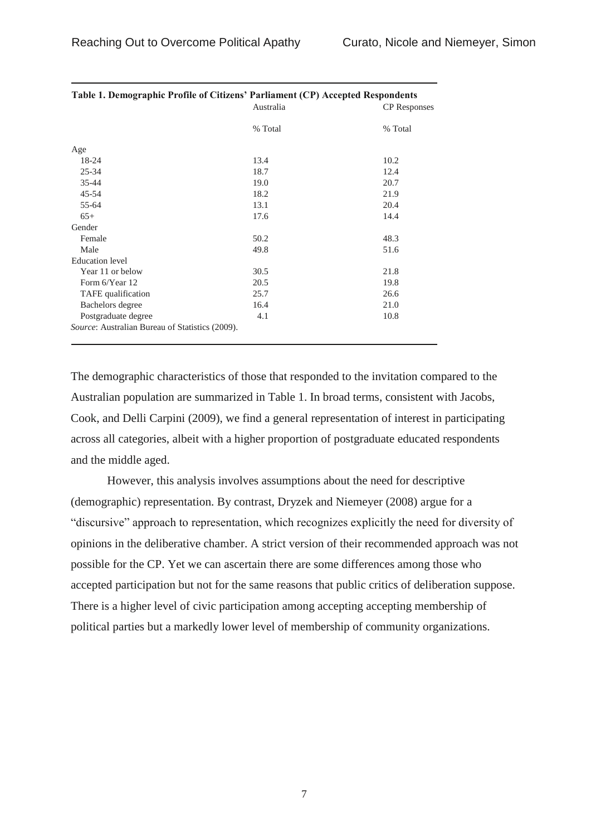| Table 1. Demographic Profile of Citizens' Parliament (CP) Accepted Respondents | Australia | <b>CP</b> Responses |
|--------------------------------------------------------------------------------|-----------|---------------------|
|                                                                                | % Total   | % Total             |
| Age                                                                            |           |                     |
| 18-24                                                                          | 13.4      | 10.2                |
| $25 - 34$                                                                      | 18.7      | 12.4                |
| 35-44                                                                          | 19.0      | 20.7                |
| $45 - 54$                                                                      | 18.2      | 21.9                |
| 55-64                                                                          | 13.1      | 20.4                |
| $65+$                                                                          | 17.6      | 14.4                |
| Gender                                                                         |           |                     |
| Female                                                                         | 50.2      | 48.3                |
| Male                                                                           | 49.8      | 51.6                |
| <b>Education</b> level                                                         |           |                     |
| Year 11 or below                                                               | 30.5      | 21.8                |
| Form 6/Year 12                                                                 | 20.5      | 19.8                |
| TAFE qualification                                                             | 25.7      | 26.6                |
| Bachelors degree                                                               | 16.4      | 21.0                |
| Postgraduate degree                                                            | 4.1       | 10.8                |
| Source: Australian Bureau of Statistics (2009).                                |           |                     |

| Table 1. Demographic Profile of Citizens' Parliament (CP) Accepted Respondents |           |            |
|--------------------------------------------------------------------------------|-----------|------------|
|                                                                                | Australia | CP Respons |

The demographic characteristics of those that responded to the invitation compared to the Australian population are summarized in Table 1. In broad terms, consistent with Jacobs, Cook, and Delli Carpini (2009), we find a general representation of interest in participating across all categories, albeit with a higher proportion of postgraduate educated respondents and the middle aged.

However, this analysis involves assumptions about the need for descriptive (demographic) representation. By contrast, Dryzek and Niemeyer (2008) argue for a "discursive" approach to representation, which recognizes explicitly the need for diversity of opinions in the deliberative chamber. A strict version of their recommended approach was not possible for the CP. Yet we can ascertain there are some differences among those who accepted participation but not for the same reasons that public critics of deliberation suppose. There is a higher level of civic participation among accepting accepting membership of political parties but a markedly lower level of membership of community organizations.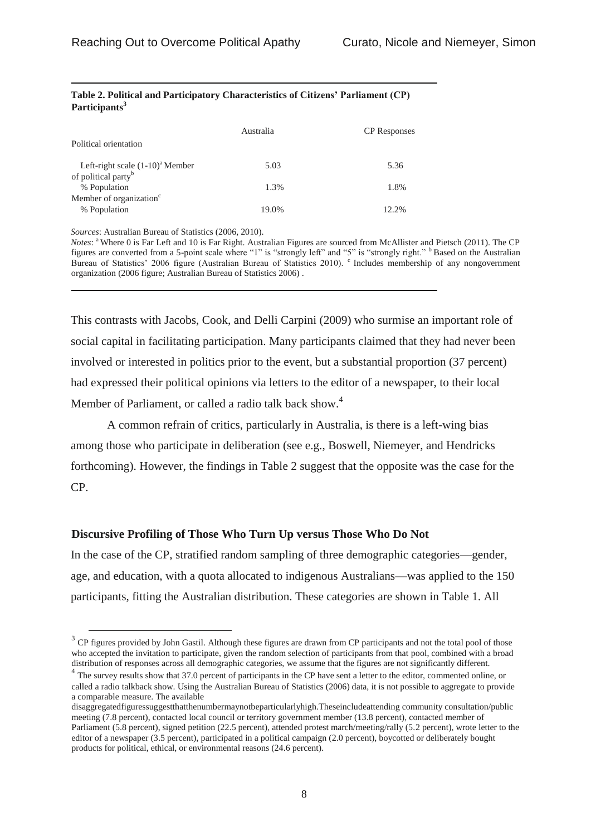| Political orientation                                                   | Australia | <b>CP</b> Responses |
|-------------------------------------------------------------------------|-----------|---------------------|
| Left-right scale $(1-10)^{a}$ Member<br>of political party <sup>b</sup> | 5.03      | 5.36                |
| % Population                                                            | 1.3%      | 1.8%                |
| Member of organization <sup>c</sup><br>% Population                     | 19.0%     | 12.2%               |

#### **Table 2. Political and Participatory Characteristics of Citizens' Parliament (CP) Participants<sup>3</sup>**

*Sources*: Australian Bureau of Statistics (2006, 2010).

 $\overline{a}$ 

*Notes*: <sup>a</sup> Where 0 is Far Left and 10 is Far Right. Australian Figures are sourced from McAllister and Pietsch (2011). The CP figures are converted from a 5-point scale where "1" is "strongly left" and "5" is "strongly right." <sup>b</sup> Based on the Australian Bureau of Statistics' 2006 figure (Australian Bureau of Statistics 2010). <sup>c</sup> Includes membership of any nongovernment organization (2006 figure; Australian Bureau of Statistics 2006) .

This contrasts with Jacobs, Cook, and Delli Carpini (2009) who surmise an important role of social capital in facilitating participation. Many participants claimed that they had never been involved or interested in politics prior to the event, but a substantial proportion (37 percent) had expressed their political opinions via letters to the editor of a newspaper, to their local Member of Parliament, or called a radio talk back show.<sup>4</sup>

A common refrain of critics, particularly in Australia, is there is a left-wing bias among those who participate in deliberation (see e.g., Boswell, Niemeyer, and Hendricks forthcoming). However, the findings in Table 2 suggest that the opposite was the case for the CP.

## **Discursive Profiling of Those Who Turn Up versus Those Who Do Not**

In the case of the CP, stratified random sampling of three demographic categories—gender, age, and education, with a quota allocated to indigenous Australians—was applied to the 150 participants, fitting the Australian distribution. These categories are shown in Table 1. All

 $3$  CP figures provided by John Gastil. Although these figures are drawn from CP participants and not the total pool of those who accepted the invitation to participate, given the random selection of participants from that pool, combined with a broad distribution of responses across all demographic categories, we assume that the figures are not significantly different.

<sup>&</sup>lt;sup>4</sup> The survey results show that 37.0 percent of participants in the CP have sent a letter to the editor, commented online, or called a radio talkback show. Using the Australian Bureau of Statistics (2006) data, it is not possible to aggregate to provide a comparable measure. The available

disaggregatedfiguressuggestthatthenumbermaynotbeparticularlyhigh.Theseincludeattending community consultation/public meeting (7.8 percent), contacted local council or territory government member (13.8 percent), contacted member of Parliament (5.8 percent), signed petition (22.5 percent), attended protest march/meeting/rally (5.2 percent), wrote letter to the editor of a newspaper (3.5 percent), participated in a political campaign (2.0 percent), boycotted or deliberately bought products for political, ethical, or environmental reasons (24.6 percent).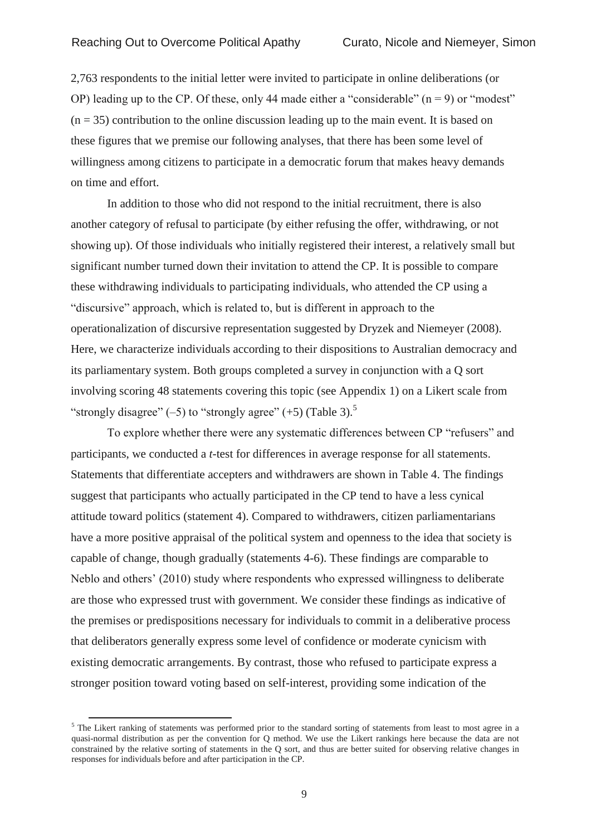2,763 respondents to the initial letter were invited to participate in online deliberations (or OP) leading up to the CP. Of these, only 44 made either a "considerable"  $(n = 9)$  or "modest"  $(n = 35)$  contribution to the online discussion leading up to the main event. It is based on these figures that we premise our following analyses, that there has been some level of willingness among citizens to participate in a democratic forum that makes heavy demands on time and effort.

In addition to those who did not respond to the initial recruitment, there is also another category of refusal to participate (by either refusing the offer, withdrawing, or not showing up). Of those individuals who initially registered their interest, a relatively small but significant number turned down their invitation to attend the CP. It is possible to compare these withdrawing individuals to participating individuals, who attended the CP using a "discursive" approach, which is related to, but is different in approach to the operationalization of discursive representation suggested by Dryzek and Niemeyer (2008). Here, we characterize individuals according to their dispositions to Australian democracy and its parliamentary system. Both groups completed a survey in conjunction with a Q sort involving scoring 48 statements covering this topic (see Appendix 1) on a Likert scale from "strongly disagree"  $(-5)$  to "strongly agree"  $(+5)$  (Table 3).<sup>5</sup>

To explore whether there were any systematic differences between CP "refusers" and participants, we conducted a *t*-test for differences in average response for all statements. Statements that differentiate accepters and withdrawers are shown in Table 4. The findings suggest that participants who actually participated in the CP tend to have a less cynical attitude toward politics (statement 4). Compared to withdrawers, citizen parliamentarians have a more positive appraisal of the political system and openness to the idea that society is capable of change, though gradually (statements 4-6). These findings are comparable to Neblo and others' (2010) study where respondents who expressed willingness to deliberate are those who expressed trust with government. We consider these findings as indicative of the premises or predispositions necessary for individuals to commit in a deliberative process that deliberators generally express some level of confidence or moderate cynicism with existing democratic arrangements. By contrast, those who refused to participate express a stronger position toward voting based on self-interest, providing some indication of the

 $\overline{a}$ 

<sup>&</sup>lt;sup>5</sup> The Likert ranking of statements was performed prior to the standard sorting of statements from least to most agree in a quasi-normal distribution as per the convention for Q method. We use the Likert rankings here because the data are not constrained by the relative sorting of statements in the Q sort, and thus are better suited for observing relative changes in responses for individuals before and after participation in the CP.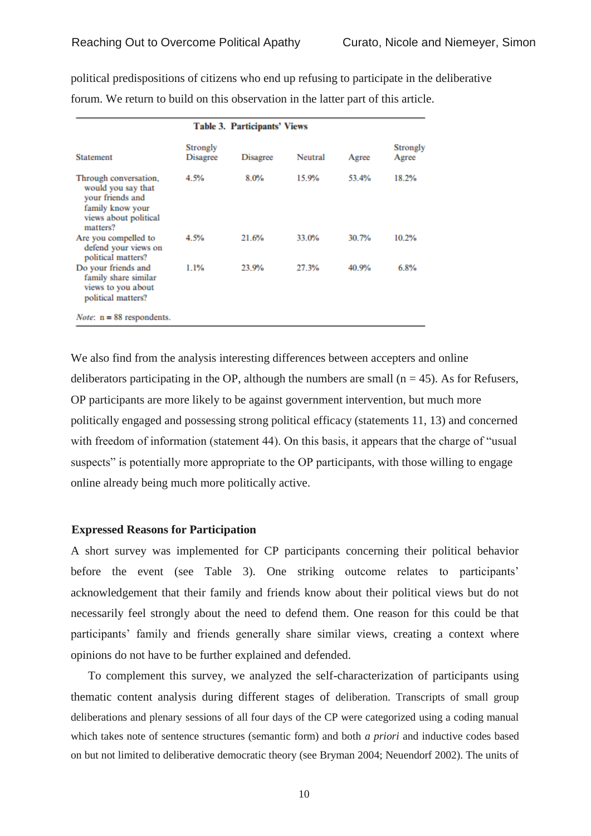| <b>Table 3. Participants' Views</b>                                                                                      |                                    |                 |         |       |                          |  |
|--------------------------------------------------------------------------------------------------------------------------|------------------------------------|-----------------|---------|-------|--------------------------|--|
| <b>Statement</b>                                                                                                         | <b>Strongly</b><br><b>Disagree</b> | <b>Disagree</b> | Neutral | Agree | <b>Strongly</b><br>Agree |  |
| Through conversation,<br>would you say that<br>your friends and<br>family know your<br>views about political<br>matters? | 4.5%                               | 8.0%            | 15.9%   | 53.4% | 18.2%                    |  |
| Are you compelled to<br>defend your views on<br>political matters?                                                       | 4.5%                               | 21.6%           | 33.0%   | 30.7% | 10.2%                    |  |
| Do your friends and<br>family share similar<br>views to you about<br>political matters?                                  | 1.1%                               | 23.9%           | 27.3%   | 40.9% | 6.8%                     |  |
| <i>Note</i> : $n = 88$ respondents.                                                                                      |                                    |                 |         |       |                          |  |

political predispositions of citizens who end up refusing to participate in the deliberative forum. We return to build on this observation in the latter part of this article.

We also find from the analysis interesting differences between accepters and online deliberators participating in the OP, although the numbers are small  $(n = 45)$ . As for Refusers, OP participants are more likely to be against government intervention, but much more politically engaged and possessing strong political efficacy (statements 11, 13) and concerned with freedom of information (statement 44). On this basis, it appears that the charge of "usual suspects" is potentially more appropriate to the OP participants, with those willing to engage online already being much more politically active.

## **Expressed Reasons for Participation**

A short survey was implemented for CP participants concerning their political behavior before the event (see Table 3). One striking outcome relates to participants' acknowledgement that their family and friends know about their political views but do not necessarily feel strongly about the need to defend them. One reason for this could be that participants' family and friends generally share similar views, creating a context where opinions do not have to be further explained and defended.

To complement this survey, we analyzed the self-characterization of participants using thematic content analysis during different stages of deliberation. Transcripts of small group deliberations and plenary sessions of all four days of the CP were categorized using a coding manual which takes note of sentence structures (semantic form) and both *a priori* and inductive codes based on but not limited to deliberative democratic theory (see Bryman 2004; Neuendorf 2002). The units of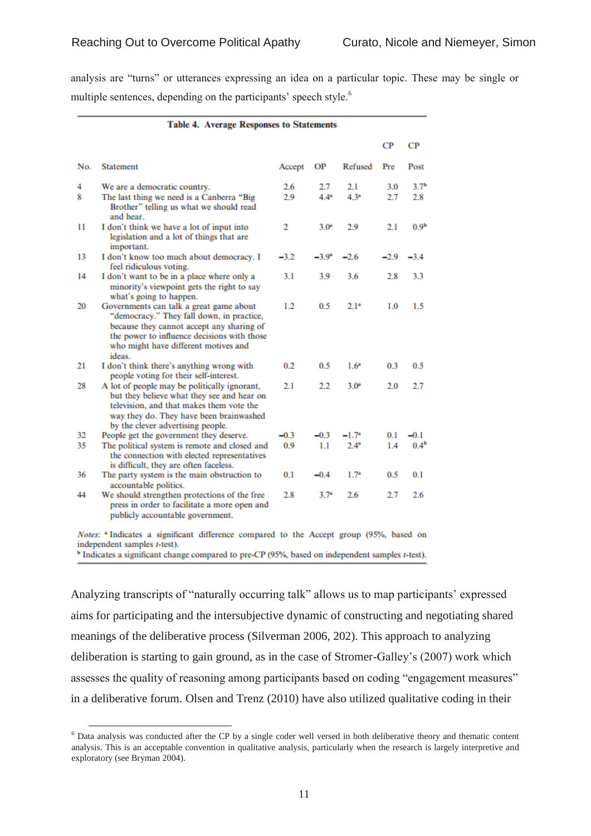analysis are "turns" or utterances expressing an idea on a particular topic. These may be single or multiple sentences, depending on the participants' speech style.<sup>6</sup>

|     | <b>Table 4. Average Responses to Statements</b>                                                                                                                                                                                    |        |                |                  |        |                  |
|-----|------------------------------------------------------------------------------------------------------------------------------------------------------------------------------------------------------------------------------------|--------|----------------|------------------|--------|------------------|
|     |                                                                                                                                                                                                                                    |        |                |                  | СP     | CР               |
| No. | <b>Statement</b>                                                                                                                                                                                                                   | Accept | ΟP             | Refused          | Pre    | Post             |
| 4   | We are a democratic country.                                                                                                                                                                                                       | 2.6    | 2.7            | 2.1              | 3.0    | 3.7 <sup>b</sup> |
| 8   | The last thing we need is a Canberra "Big<br>Brother" telling us what we should read<br>and hear.                                                                                                                                  | 2.9    | $4.4^{a}$      | 4.3 <sup>a</sup> | 2.7    | 2.8              |
| 11  | I don't think we have a lot of input into<br>legislation and a lot of things that are<br>important.                                                                                                                                | 2      | $3.0*$         | 2.9              | 2.1    | 0.9 <sup>b</sup> |
| 13  | I don't know too much about democracy. I<br>feel ridiculous voting.                                                                                                                                                                | $-3.2$ | $-3.9^{\circ}$ | $-2.6$           | $-2.9$ | $-3.4$           |
| 14  | I don't want to be in a place where only a<br>minority's viewpoint gets the right to say<br>what's going to happen.                                                                                                                | 3.1    | 3.9            | 3.6              | 2.8    | 3.3              |
| 20  | Governments can talk a great game about<br>"democracy." They fall down, in practice,<br>because they cannot accept any sharing of<br>the power to influence decisions with those<br>who might have different motives and<br>ideas. | 1.2    | 0.5            | $2.1^{a}$        | 1.0    | 1.5              |
| 21  | I don't think there's anything wrong with<br>people voting for their self-interest.                                                                                                                                                | 0.2    | 0.5            | $1.6^*$          | 0.3    | 0.5              |
| 28  | A lot of people may be politically ignorant,<br>but they believe what they see and hear on<br>television, and that makes them vote the<br>way they do. They have been brainwashed<br>by the clever advertising people.             | 2.1    | 2.2            | $3.0^{a}$        | 2.0    | 2.7              |
| 32  | People get the government they deserve.                                                                                                                                                                                            | $-0.3$ | $-0.3$         | $-1.7^*$         | 0.1    | $-0.1$           |
| 35  | The political system is remote and closed and<br>the connection with elected representatives<br>is difficult, they are often faceless.                                                                                             | 0.9    | 1.1            | $2.4^*$          | 1.4    | 0.4 <sup>b</sup> |
| 36  | The party system is the main obstruction to<br>accountable politics.                                                                                                                                                               | 0.1    | $-0.4$         | $1.7^*$          | 0.5    | 0.1              |
| 44  | We should strengthen protections of the free<br>press in order to facilitate a more open and<br>publicly accountable government.                                                                                                   | 2.8    | $3.7^{*}$      | 2.6              | 2.7    | 2.6              |

Notes: <sup>a</sup> Indicates a significant difference compared to the Accept group (95%, based on independent samples *t*-test).

 $\overline{a}$ 

Analyzing transcripts of "naturally occurring talk" allows us to map participants' expressed aims for participating and the intersubjective dynamic of constructing and negotiating shared meanings of the deliberative process (Silverman 2006, 202). This approach to analyzing deliberation is starting to gain ground, as in the case of Stromer-Galley's (2007) work which assesses the quality of reasoning among participants based on coding "engagement measures" in a deliberative forum. Olsen and Trenz (2010) have also utilized qualitative coding in their

<sup>&</sup>lt;sup>b</sup> Indicates a significant change compared to pre-CP (95%, based on independent samples t-test).

<sup>6</sup> Data analysis was conducted after the CP by a single coder well versed in both deliberative theory and thematic content analysis. This is an acceptable convention in qualitative analysis, particularly when the research is largely interpretive and exploratory (see Bryman 2004).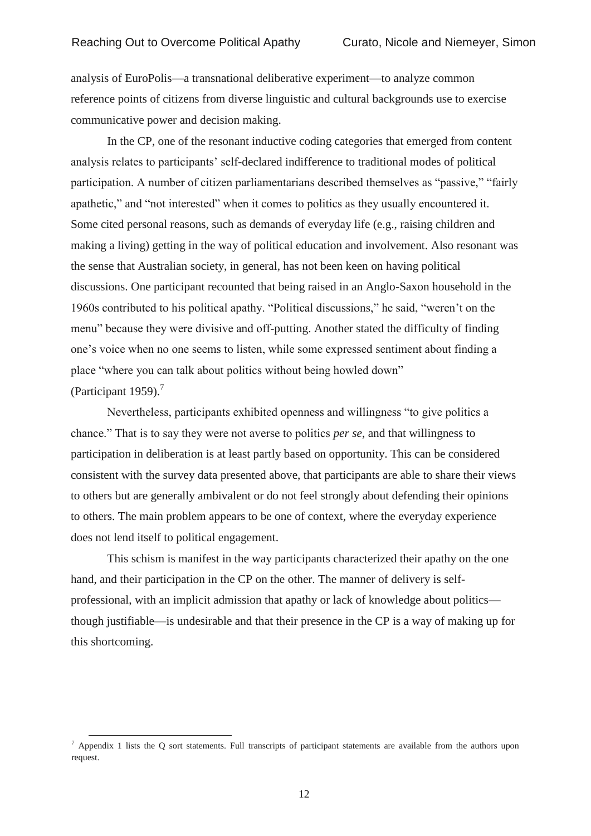analysis of EuroPolis—a transnational deliberative experiment—to analyze common reference points of citizens from diverse linguistic and cultural backgrounds use to exercise communicative power and decision making.

In the CP, one of the resonant inductive coding categories that emerged from content analysis relates to participants' self-declared indifference to traditional modes of political participation. A number of citizen parliamentarians described themselves as "passive," "fairly apathetic," and "not interested" when it comes to politics as they usually encountered it. Some cited personal reasons, such as demands of everyday life (e.g., raising children and making a living) getting in the way of political education and involvement. Also resonant was the sense that Australian society, in general, has not been keen on having political discussions. One participant recounted that being raised in an Anglo-Saxon household in the 1960s contributed to his political apathy. "Political discussions," he said, "weren't on the menu" because they were divisive and off-putting. Another stated the difficulty of finding one's voice when no one seems to listen, while some expressed sentiment about finding a place "where you can talk about politics without being howled down" (Participant 1959). $<sup>7</sup>$ </sup>

Nevertheless, participants exhibited openness and willingness "to give politics a chance." That is to say they were not averse to politics *per se*, and that willingness to participation in deliberation is at least partly based on opportunity. This can be considered consistent with the survey data presented above, that participants are able to share their views to others but are generally ambivalent or do not feel strongly about defending their opinions to others. The main problem appears to be one of context, where the everyday experience does not lend itself to political engagement.

This schism is manifest in the way participants characterized their apathy on the one hand, and their participation in the CP on the other. The manner of delivery is selfprofessional, with an implicit admission that apathy or lack of knowledge about politics though justifiable—is undesirable and that their presence in the CP is a way of making up for this shortcoming.

 $\overline{a}$ 

 $^7$  Appendix 1 lists the Q sort statements. Full transcripts of participant statements are available from the authors upon request.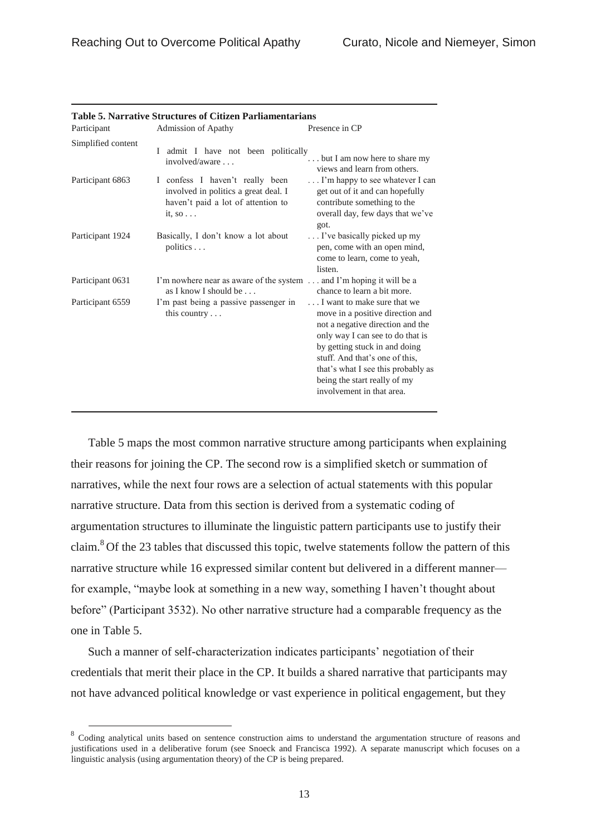| Participant        | Admission of Apathy                                                                                                              | Presence in CP                                                                                                                                                                                                                                                                                                |
|--------------------|----------------------------------------------------------------------------------------------------------------------------------|---------------------------------------------------------------------------------------------------------------------------------------------------------------------------------------------------------------------------------------------------------------------------------------------------------------|
| Simplified content | I admit I have not been politically<br>involved/aware                                                                            | but I am now here to share my<br>views and learn from others.                                                                                                                                                                                                                                                 |
| Participant 6863   | I confess I haven't really been<br>involved in politics a great deal. I<br>haven't paid a lot of attention to<br>it, so $\ldots$ | I'm happy to see whatever I can<br>get out of it and can hopefully<br>contribute something to the<br>overall day, few days that we've<br>got.                                                                                                                                                                 |
| Participant 1924   | Basically, I don't know a lot about<br>politics                                                                                  | I've basically picked up my<br>pen, come with an open mind,<br>come to learn, come to yeah,<br>listen.                                                                                                                                                                                                        |
| Participant 0631   | I'm nowhere near as aware of the system  and I'm hoping it will be a<br>as I know I should be                                    | chance to learn a bit more.                                                                                                                                                                                                                                                                                   |
| Participant 6559   | I'm past being a passive passenger in<br>this country $\ldots$                                                                   | I want to make sure that we<br>move in a positive direction and<br>not a negative direction and the<br>only way I can see to do that is<br>by getting stuck in and doing<br>stuff. And that's one of this,<br>that's what I see this probably as<br>being the start really of my<br>involvement in that area. |

#### **Table 5. Narrative Structures of Citizen Parliamentarians**

Table 5 maps the most common narrative structure among participants when explaining their reasons for joining the CP. The second row is a simplified sketch or summation of narratives, while the next four rows are a selection of actual statements with this popular narrative structure. Data from this section is derived from a systematic coding of argumentation structures to illuminate the linguistic pattern participants use to justify their claim.<sup>8</sup> Of the 23 tables that discussed this topic, twelve statements follow the pattern of this narrative structure while 16 expressed similar content but delivered in a different manner for example, "maybe look at something in a new way, something I haven't thought about before" (Participant 3532). No other narrative structure had a comparable frequency as the one in Table 5.

Such a manner of self-characterization indicates participants' negotiation of their credentials that merit their place in the CP. It builds a shared narrative that participants may not have advanced political knowledge or vast experience in political engagement, but they

 $\overline{a}$ 

<sup>&</sup>lt;sup>8</sup> Coding analytical units based on sentence construction aims to understand the argumentation structure of reasons and justifications used in a deliberative forum (see Snoeck and Francisca 1992). A separate manuscript which focuses on a linguistic analysis (using argumentation theory) of the CP is being prepared.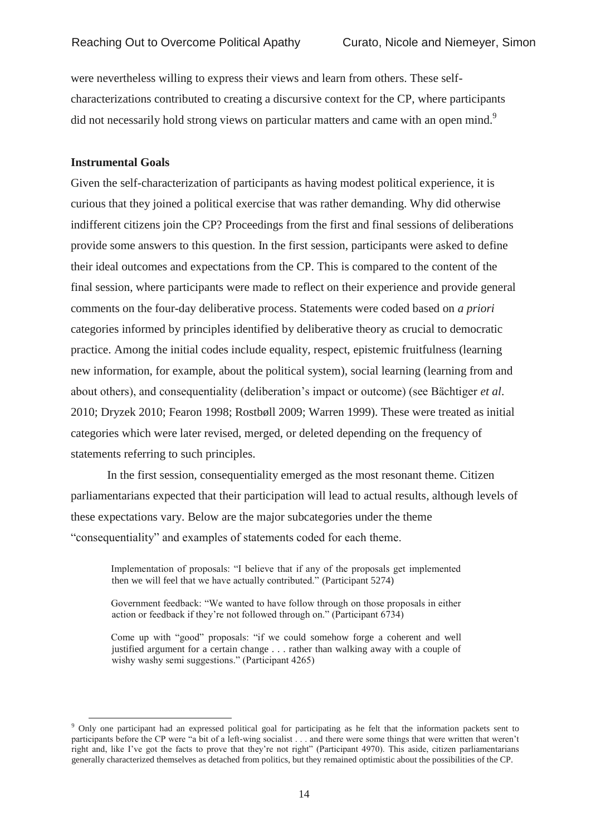were nevertheless willing to express their views and learn from others. These selfcharacterizations contributed to creating a discursive context for the CP, where participants did not necessarily hold strong views on particular matters and came with an open mind.<sup>9</sup>

## **Instrumental Goals**

 $\overline{a}$ 

Given the self-characterization of participants as having modest political experience, it is curious that they joined a political exercise that was rather demanding. Why did otherwise indifferent citizens join the CP? Proceedings from the first and final sessions of deliberations provide some answers to this question. In the first session, participants were asked to define their ideal outcomes and expectations from the CP. This is compared to the content of the final session, where participants were made to reflect on their experience and provide general comments on the four-day deliberative process. Statements were coded based on *a priori*  categories informed by principles identified by deliberative theory as crucial to democratic practice. Among the initial codes include equality, respect, epistemic fruitfulness (learning new information, for example, about the political system), social learning (learning from and about others), and consequentiality (deliberation's impact or outcome) (see Bächtiger *et al*. 2010; Dryzek 2010; Fearon 1998; Rostbøll 2009; Warren 1999). These were treated as initial categories which were later revised, merged, or deleted depending on the frequency of statements referring to such principles.

In the first session, consequentiality emerged as the most resonant theme. Citizen parliamentarians expected that their participation will lead to actual results, although levels of these expectations vary. Below are the major subcategories under the theme "consequentiality" and examples of statements coded for each theme.

Implementation of proposals: "I believe that if any of the proposals get implemented then we will feel that we have actually contributed." (Participant 5274)

Government feedback: "We wanted to have follow through on those proposals in either action or feedback if they're not followed through on." (Participant 6734)

Come up with "good" proposals: "if we could somehow forge a coherent and well justified argument for a certain change . . . rather than walking away with a couple of wishy washy semi suggestions." (Participant 4265)

<sup>&</sup>lt;sup>9</sup> Only one participant had an expressed political goal for participating as he felt that the information packets sent to participants before the CP were "a bit of a left-wing socialist . . . and there were some things that were written that weren't right and, like I've got the facts to prove that they're not right" (Participant 4970). This aside, citizen parliamentarians generally characterized themselves as detached from politics, but they remained optimistic about the possibilities of the CP.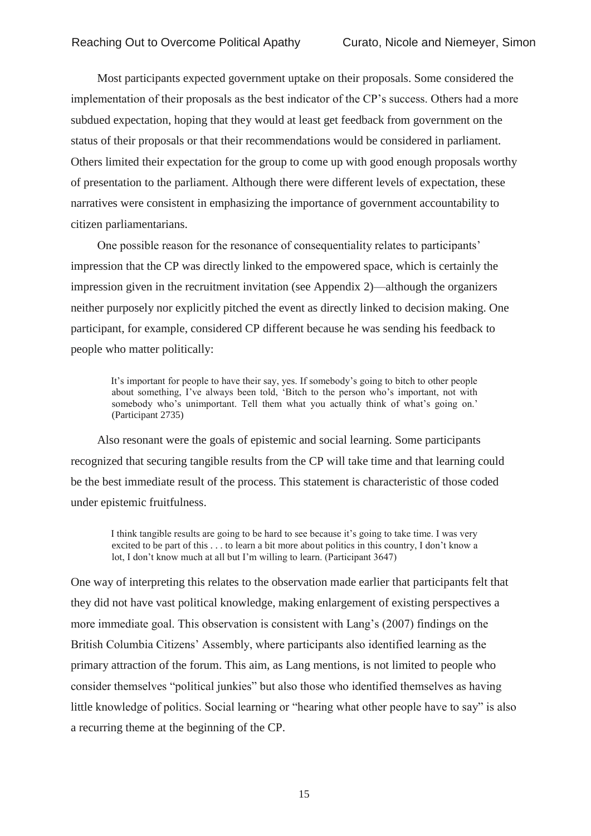Most participants expected government uptake on their proposals. Some considered the implementation of their proposals as the best indicator of the CP's success. Others had a more subdued expectation, hoping that they would at least get feedback from government on the status of their proposals or that their recommendations would be considered in parliament. Others limited their expectation for the group to come up with good enough proposals worthy of presentation to the parliament. Although there were different levels of expectation, these narratives were consistent in emphasizing the importance of government accountability to citizen parliamentarians.

One possible reason for the resonance of consequentiality relates to participants' impression that the CP was directly linked to the empowered space, which is certainly the impression given in the recruitment invitation (see Appendix 2)—although the organizers neither purposely nor explicitly pitched the event as directly linked to decision making. One participant, for example, considered CP different because he was sending his feedback to people who matter politically:

It's important for people to have their say, yes. If somebody's going to bitch to other people about something, I've always been told, 'Bitch to the person who's important, not with somebody who's unimportant. Tell them what you actually think of what's going on.' (Participant 2735)

Also resonant were the goals of epistemic and social learning. Some participants recognized that securing tangible results from the CP will take time and that learning could be the best immediate result of the process. This statement is characteristic of those coded under epistemic fruitfulness.

I think tangible results are going to be hard to see because it's going to take time. I was very excited to be part of this . . . to learn a bit more about politics in this country, I don't know a lot, I don't know much at all but I'm willing to learn. (Participant 3647)

One way of interpreting this relates to the observation made earlier that participants felt that they did not have vast political knowledge, making enlargement of existing perspectives a more immediate goal. This observation is consistent with Lang's (2007) findings on the British Columbia Citizens' Assembly, where participants also identified learning as the primary attraction of the forum. This aim, as Lang mentions, is not limited to people who consider themselves "political junkies" but also those who identified themselves as having little knowledge of politics. Social learning or "hearing what other people have to say" is also a recurring theme at the beginning of the CP.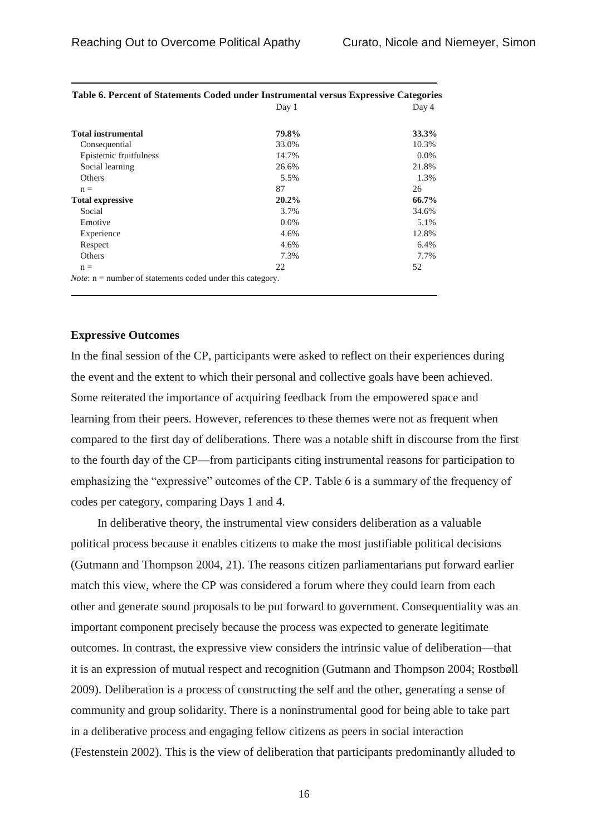|                                                                    | Day 1    | Day 4   |
|--------------------------------------------------------------------|----------|---------|
| <b>Total instrumental</b>                                          | 79.8%    | 33.3%   |
| Consequential                                                      | 33.0%    | 10.3%   |
| Epistemic fruitfulness                                             | 14.7%    | $0.0\%$ |
| Social learning                                                    | 26.6%    | 21.8%   |
| Others                                                             | 5.5%     | 1.3%    |
| $n =$                                                              | 87       | 26      |
| <b>Total expressive</b>                                            | $20.2\%$ | 66.7%   |
| Social                                                             | 3.7%     | 34.6%   |
| Emotive                                                            | $0.0\%$  | 5.1%    |
| Experience                                                         | 4.6%     | 12.8%   |
| Respect                                                            | 4.6%     | 6.4%    |
| Others                                                             | 7.3%     | 7.7%    |
| $n =$                                                              | 22       | 52      |
| <i>Note:</i> $n =$ number of statements coded under this category. |          |         |

| Table 6. Percent of Statements Coded under Instrumental versus Expressive Categories |       |       |
|--------------------------------------------------------------------------------------|-------|-------|
|                                                                                      | Dav 1 | Day 4 |

#### **Expressive Outcomes**

In the final session of the CP, participants were asked to reflect on their experiences during the event and the extent to which their personal and collective goals have been achieved. Some reiterated the importance of acquiring feedback from the empowered space and learning from their peers. However, references to these themes were not as frequent when compared to the first day of deliberations. There was a notable shift in discourse from the first to the fourth day of the CP—from participants citing instrumental reasons for participation to emphasizing the "expressive" outcomes of the CP. Table 6 is a summary of the frequency of codes per category, comparing Days 1 and 4.

In deliberative theory, the instrumental view considers deliberation as a valuable political process because it enables citizens to make the most justifiable political decisions (Gutmann and Thompson 2004, 21). The reasons citizen parliamentarians put forward earlier match this view, where the CP was considered a forum where they could learn from each other and generate sound proposals to be put forward to government. Consequentiality was an important component precisely because the process was expected to generate legitimate outcomes. In contrast, the expressive view considers the intrinsic value of deliberation—that it is an expression of mutual respect and recognition (Gutmann and Thompson 2004; Rostbøll 2009). Deliberation is a process of constructing the self and the other, generating a sense of community and group solidarity. There is a noninstrumental good for being able to take part in a deliberative process and engaging fellow citizens as peers in social interaction (Festenstein 2002). This is the view of deliberation that participants predominantly alluded to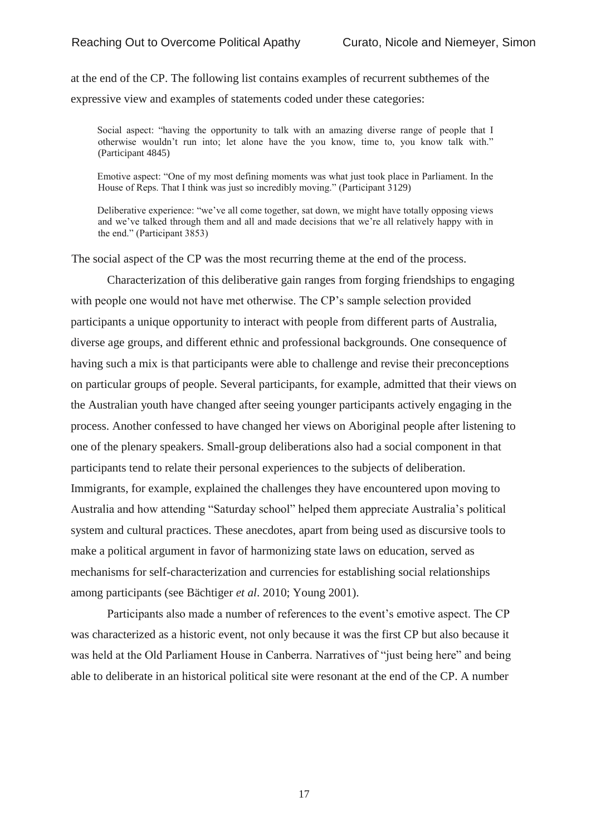at the end of the CP. The following list contains examples of recurrent subthemes of the expressive view and examples of statements coded under these categories:

Social aspect: "having the opportunity to talk with an amazing diverse range of people that I otherwise wouldn't run into; let alone have the you know, time to, you know talk with." (Participant 4845)

Emotive aspect: "One of my most defining moments was what just took place in Parliament. In the House of Reps. That I think was just so incredibly moving." (Participant 3129)

Deliberative experience: "we've all come together, sat down, we might have totally opposing views and we've talked through them and all and made decisions that we're all relatively happy with in the end." (Participant 3853)

The social aspect of the CP was the most recurring theme at the end of the process.

Characterization of this deliberative gain ranges from forging friendships to engaging with people one would not have met otherwise. The CP's sample selection provided participants a unique opportunity to interact with people from different parts of Australia, diverse age groups, and different ethnic and professional backgrounds. One consequence of having such a mix is that participants were able to challenge and revise their preconceptions on particular groups of people. Several participants, for example, admitted that their views on the Australian youth have changed after seeing younger participants actively engaging in the process. Another confessed to have changed her views on Aboriginal people after listening to one of the plenary speakers. Small-group deliberations also had a social component in that participants tend to relate their personal experiences to the subjects of deliberation. Immigrants, for example, explained the challenges they have encountered upon moving to Australia and how attending "Saturday school" helped them appreciate Australia's political system and cultural practices. These anecdotes, apart from being used as discursive tools to make a political argument in favor of harmonizing state laws on education, served as mechanisms for self-characterization and currencies for establishing social relationships among participants (see Bächtiger *et al*. 2010; Young 2001).

Participants also made a number of references to the event's emotive aspect. The CP was characterized as a historic event, not only because it was the first CP but also because it was held at the Old Parliament House in Canberra. Narratives of "just being here" and being able to deliberate in an historical political site were resonant at the end of the CP. A number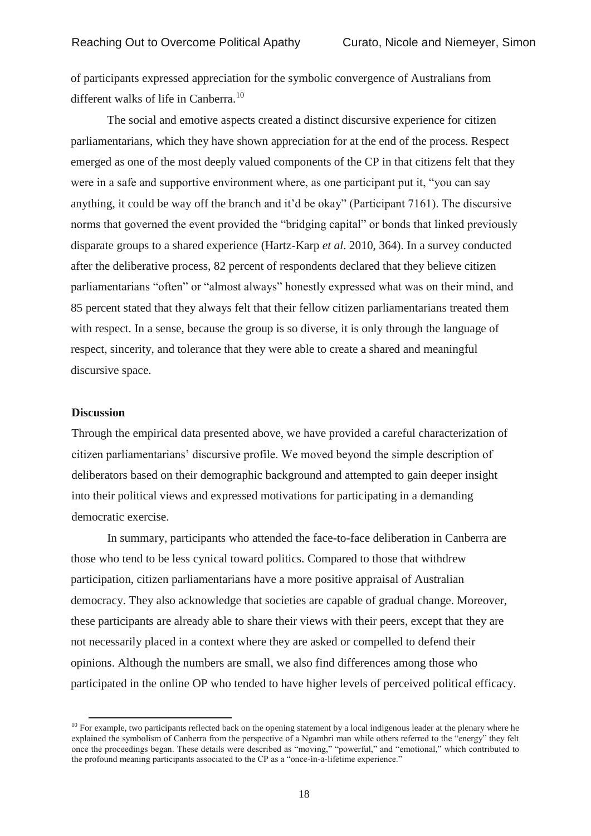of participants expressed appreciation for the symbolic convergence of Australians from different walks of life in Canberra.<sup>10</sup>

The social and emotive aspects created a distinct discursive experience for citizen parliamentarians, which they have shown appreciation for at the end of the process. Respect emerged as one of the most deeply valued components of the CP in that citizens felt that they were in a safe and supportive environment where, as one participant put it, "you can say anything, it could be way off the branch and it'd be okay" (Participant 7161). The discursive norms that governed the event provided the "bridging capital" or bonds that linked previously disparate groups to a shared experience (Hartz-Karp *et al*. 2010, 364). In a survey conducted after the deliberative process, 82 percent of respondents declared that they believe citizen parliamentarians "often" or "almost always" honestly expressed what was on their mind, and 85 percent stated that they always felt that their fellow citizen parliamentarians treated them with respect. In a sense, because the group is so diverse, it is only through the language of respect, sincerity, and tolerance that they were able to create a shared and meaningful discursive space.

#### **Discussion**

 $\overline{a}$ 

Through the empirical data presented above, we have provided a careful characterization of citizen parliamentarians' discursive profile. We moved beyond the simple description of deliberators based on their demographic background and attempted to gain deeper insight into their political views and expressed motivations for participating in a demanding democratic exercise.

In summary, participants who attended the face-to-face deliberation in Canberra are those who tend to be less cynical toward politics. Compared to those that withdrew participation, citizen parliamentarians have a more positive appraisal of Australian democracy. They also acknowledge that societies are capable of gradual change. Moreover, these participants are already able to share their views with their peers, except that they are not necessarily placed in a context where they are asked or compelled to defend their opinions. Although the numbers are small, we also find differences among those who participated in the online OP who tended to have higher levels of perceived political efficacy.

 $10$  For example, two participants reflected back on the opening statement by a local indigenous leader at the plenary where he explained the symbolism of Canberra from the perspective of a Ngambri man while others referred to the "energy" they felt once the proceedings began. These details were described as "moving," "powerful," and "emotional," which contributed to the profound meaning participants associated to the CP as a "once-in-a-lifetime experience."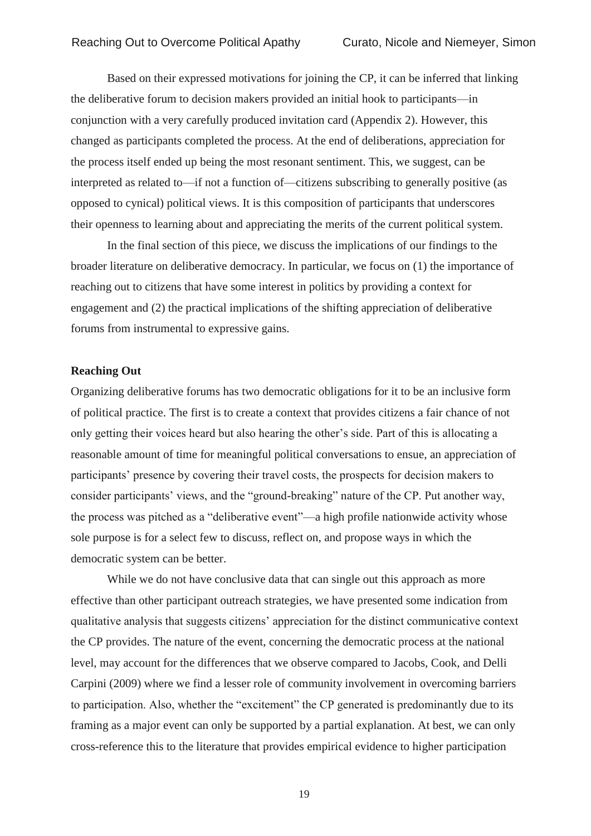Based on their expressed motivations for joining the CP, it can be inferred that linking the deliberative forum to decision makers provided an initial hook to participants—in conjunction with a very carefully produced invitation card (Appendix 2). However, this changed as participants completed the process. At the end of deliberations, appreciation for the process itself ended up being the most resonant sentiment. This, we suggest, can be interpreted as related to—if not a function of—citizens subscribing to generally positive (as opposed to cynical) political views. It is this composition of participants that underscores their openness to learning about and appreciating the merits of the current political system.

In the final section of this piece, we discuss the implications of our findings to the broader literature on deliberative democracy. In particular, we focus on (1) the importance of reaching out to citizens that have some interest in politics by providing a context for engagement and (2) the practical implications of the shifting appreciation of deliberative forums from instrumental to expressive gains.

#### **Reaching Out**

Organizing deliberative forums has two democratic obligations for it to be an inclusive form of political practice. The first is to create a context that provides citizens a fair chance of not only getting their voices heard but also hearing the other's side. Part of this is allocating a reasonable amount of time for meaningful political conversations to ensue, an appreciation of participants' presence by covering their travel costs, the prospects for decision makers to consider participants' views, and the "ground-breaking" nature of the CP. Put another way, the process was pitched as a "deliberative event"—a high profile nationwide activity whose sole purpose is for a select few to discuss, reflect on, and propose ways in which the democratic system can be better.

While we do not have conclusive data that can single out this approach as more effective than other participant outreach strategies, we have presented some indication from qualitative analysis that suggests citizens' appreciation for the distinct communicative context the CP provides. The nature of the event, concerning the democratic process at the national level, may account for the differences that we observe compared to Jacobs, Cook, and Delli Carpini (2009) where we find a lesser role of community involvement in overcoming barriers to participation. Also, whether the "excitement" the CP generated is predominantly due to its framing as a major event can only be supported by a partial explanation. At best, we can only cross-reference this to the literature that provides empirical evidence to higher participation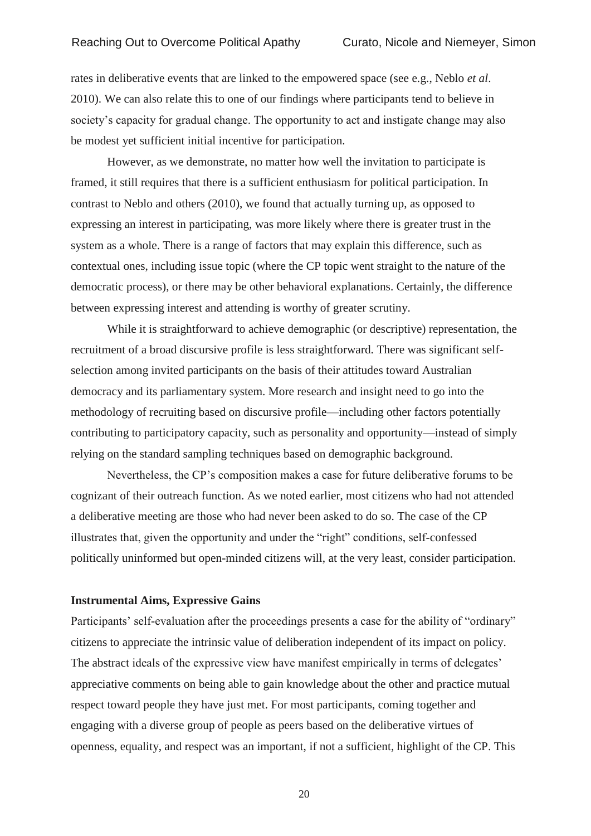rates in deliberative events that are linked to the empowered space (see e.g., Neblo *et al*. 2010). We can also relate this to one of our findings where participants tend to believe in society's capacity for gradual change. The opportunity to act and instigate change may also be modest yet sufficient initial incentive for participation.

However, as we demonstrate, no matter how well the invitation to participate is framed, it still requires that there is a sufficient enthusiasm for political participation. In contrast to Neblo and others (2010), we found that actually turning up, as opposed to expressing an interest in participating, was more likely where there is greater trust in the system as a whole. There is a range of factors that may explain this difference, such as contextual ones, including issue topic (where the CP topic went straight to the nature of the democratic process), or there may be other behavioral explanations. Certainly, the difference between expressing interest and attending is worthy of greater scrutiny.

While it is straightforward to achieve demographic (or descriptive) representation, the recruitment of a broad discursive profile is less straightforward. There was significant selfselection among invited participants on the basis of their attitudes toward Australian democracy and its parliamentary system. More research and insight need to go into the methodology of recruiting based on discursive profile—including other factors potentially contributing to participatory capacity, such as personality and opportunity—instead of simply relying on the standard sampling techniques based on demographic background.

Nevertheless, the CP's composition makes a case for future deliberative forums to be cognizant of their outreach function. As we noted earlier, most citizens who had not attended a deliberative meeting are those who had never been asked to do so. The case of the CP illustrates that, given the opportunity and under the "right" conditions, self-confessed politically uninformed but open-minded citizens will, at the very least, consider participation.

#### **Instrumental Aims, Expressive Gains**

Participants' self-evaluation after the proceedings presents a case for the ability of "ordinary" citizens to appreciate the intrinsic value of deliberation independent of its impact on policy. The abstract ideals of the expressive view have manifest empirically in terms of delegates' appreciative comments on being able to gain knowledge about the other and practice mutual respect toward people they have just met. For most participants, coming together and engaging with a diverse group of people as peers based on the deliberative virtues of openness, equality, and respect was an important, if not a sufficient, highlight of the CP. This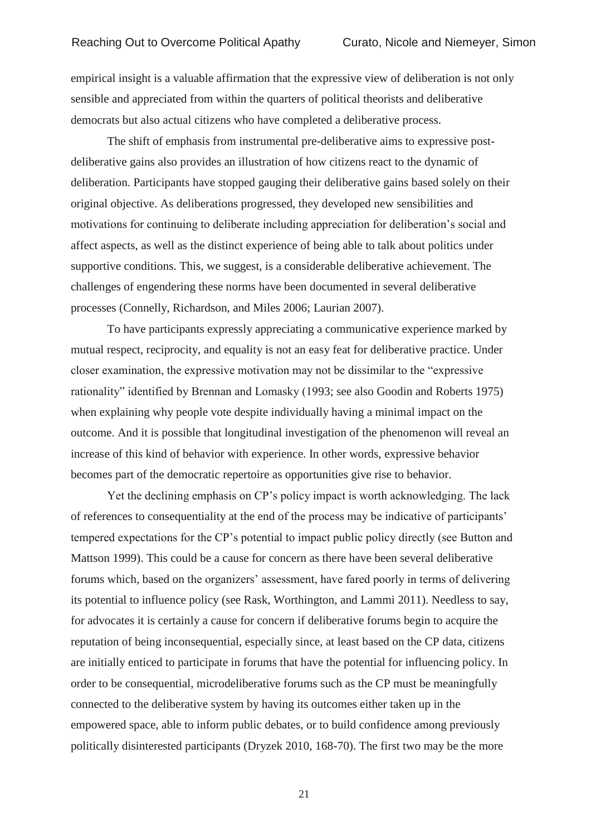empirical insight is a valuable affirmation that the expressive view of deliberation is not only sensible and appreciated from within the quarters of political theorists and deliberative democrats but also actual citizens who have completed a deliberative process.

The shift of emphasis from instrumental pre-deliberative aims to expressive postdeliberative gains also provides an illustration of how citizens react to the dynamic of deliberation. Participants have stopped gauging their deliberative gains based solely on their original objective. As deliberations progressed, they developed new sensibilities and motivations for continuing to deliberate including appreciation for deliberation's social and affect aspects, as well as the distinct experience of being able to talk about politics under supportive conditions. This, we suggest, is a considerable deliberative achievement. The challenges of engendering these norms have been documented in several deliberative processes (Connelly, Richardson, and Miles 2006; Laurian 2007).

To have participants expressly appreciating a communicative experience marked by mutual respect, reciprocity, and equality is not an easy feat for deliberative practice. Under closer examination, the expressive motivation may not be dissimilar to the "expressive rationality" identified by Brennan and Lomasky (1993; see also Goodin and Roberts 1975) when explaining why people vote despite individually having a minimal impact on the outcome. And it is possible that longitudinal investigation of the phenomenon will reveal an increase of this kind of behavior with experience. In other words, expressive behavior becomes part of the democratic repertoire as opportunities give rise to behavior.

Yet the declining emphasis on CP's policy impact is worth acknowledging. The lack of references to consequentiality at the end of the process may be indicative of participants' tempered expectations for the CP's potential to impact public policy directly (see Button and Mattson 1999). This could be a cause for concern as there have been several deliberative forums which, based on the organizers' assessment, have fared poorly in terms of delivering its potential to influence policy (see Rask, Worthington, and Lammi 2011). Needless to say, for advocates it is certainly a cause for concern if deliberative forums begin to acquire the reputation of being inconsequential, especially since, at least based on the CP data, citizens are initially enticed to participate in forums that have the potential for influencing policy. In order to be consequential, microdeliberative forums such as the CP must be meaningfully connected to the deliberative system by having its outcomes either taken up in the empowered space, able to inform public debates, or to build confidence among previously politically disinterested participants (Dryzek 2010, 168-70). The first two may be the more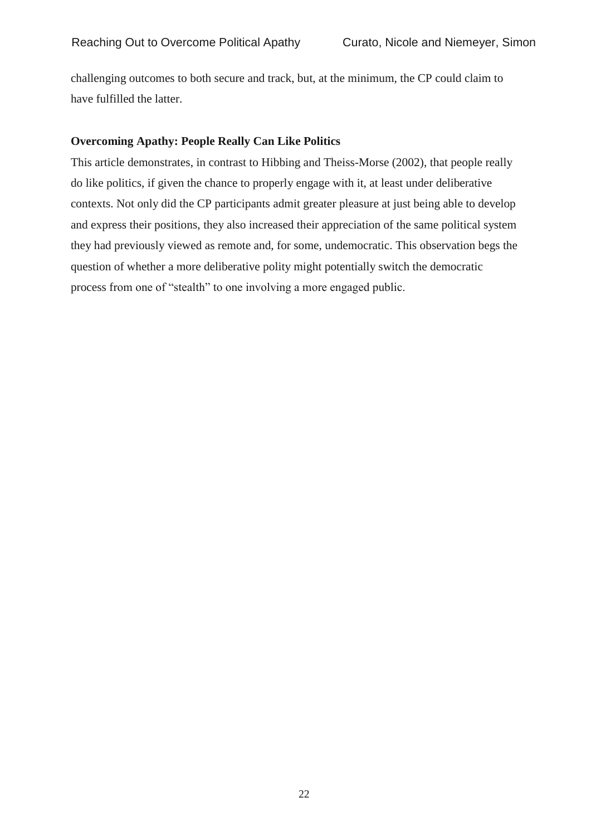challenging outcomes to both secure and track, but, at the minimum, the CP could claim to have fulfilled the latter.

## **Overcoming Apathy: People Really Can Like Politics**

This article demonstrates, in contrast to Hibbing and Theiss-Morse (2002), that people really do like politics, if given the chance to properly engage with it, at least under deliberative contexts. Not only did the CP participants admit greater pleasure at just being able to develop and express their positions, they also increased their appreciation of the same political system they had previously viewed as remote and, for some, undemocratic. This observation begs the question of whether a more deliberative polity might potentially switch the democratic process from one of "stealth" to one involving a more engaged public.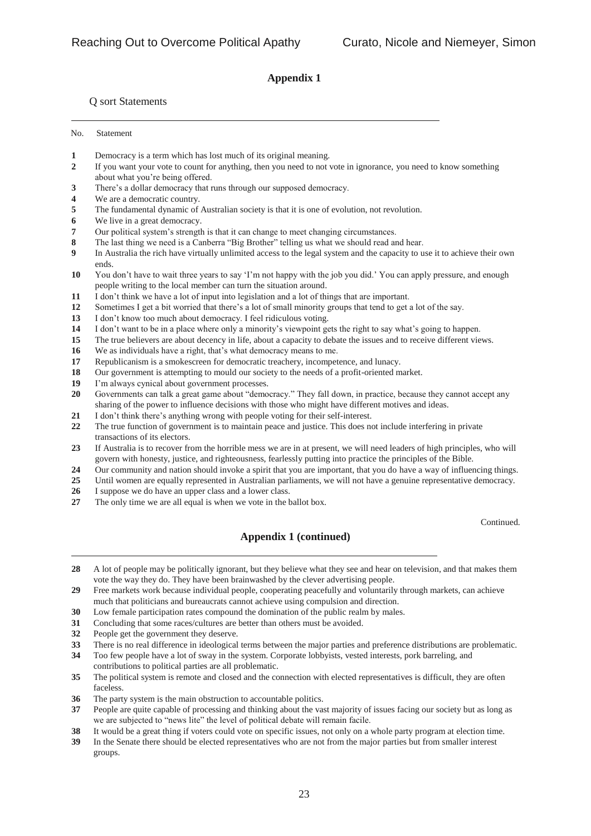## **Appendix 1**

#### Q sort Statements

No. Statement

- Democracy is a term which has lost much of its original meaning.
- If you want your vote to count for anything, then you need to not vote in ignorance, you need to know something about what you're being offered.
- There's a dollar democracy that runs through our supposed democracy.
- We are a democratic country.
- The fundamental dynamic of Australian society is that it is one of evolution, not revolution.
- We live in a great democracy.
- Our political system's strength is that it can change to meet changing circumstances.
- The last thing we need is a Canberra "Big Brother" telling us what we should read and hear.
- In Australia the rich have virtually unlimited access to the legal system and the capacity to use it to achieve their own ends.
- You don't have to wait three years to say 'I'm not happy with the job you did.' You can apply pressure, and enough people writing to the local member can turn the situation around.
- I don't think we have a lot of input into legislation and a lot of things that are important.
- Sometimes I get a bit worried that there's a lot of small minority groups that tend to get a lot of the say.
- I don't know too much about democracy. I feel ridiculous voting.
- I don't want to be in a place where only a minority's viewpoint gets the right to say what's going to happen.
- The true believers are about decency in life, about a capacity to debate the issues and to receive different views.
- We as individuals have a right, that's what democracy means to me.
- Republicanism is a smokescreen for democratic treachery, incompetence, and lunacy.
- Our government is attempting to mould our society to the needs of a profit-oriented market.
- I'm always cynical about government processes.
- Governments can talk a great game about "democracy." They fall down, in practice, because they cannot accept any sharing of the power to influence decisions with those who might have different motives and ideas.
- I don't think there's anything wrong with people voting for their self-interest.
- The true function of government is to maintain peace and justice. This does not include interfering in private transactions of its electors.
- If Australia is to recover from the horrible mess we are in at present, we will need leaders of high principles, who will govern with honesty, justice, and righteousness, fearlessly putting into practice the principles of the Bible.
- Our community and nation should invoke a spirit that you are important, that you do have a way of influencing things.
- Until women are equally represented in Australian parliaments, we will not have a genuine representative democracy.
- I suppose we do have an upper class and a lower class.
- The only time we are all equal is when we vote in the ballot box.

Continued.

## **Appendix 1 (continued)**

- A lot of people may be politically ignorant, but they believe what they see and hear on television, and that makes them vote the way they do. They have been brainwashed by the clever advertising people.
- Free markets work because individual people, cooperating peacefully and voluntarily through markets, can achieve much that politicians and bureaucrats cannot achieve using compulsion and direction.
- Low female participation rates compound the domination of the public realm by males.
- Concluding that some races/cultures are better than others must be avoided.
- People get the government they deserve.
- There is no real difference in ideological terms between the major parties and preference distributions are problematic.
- Too few people have a lot of sway in the system. Corporate lobbyists, vested interests, pork barreling, and contributions to political parties are all problematic.
- The political system is remote and closed and the connection with elected representatives is difficult, they are often faceless.
- The party system is the main obstruction to accountable politics.
- People are quite capable of processing and thinking about the vast majority of issues facing our society but as long as we are subjected to "news lite" the level of political debate will remain facile.
- It would be a great thing if voters could vote on specific issues, not only on a whole party program at election time.
- In the Senate there should be elected representatives who are not from the major parties but from smaller interest groups.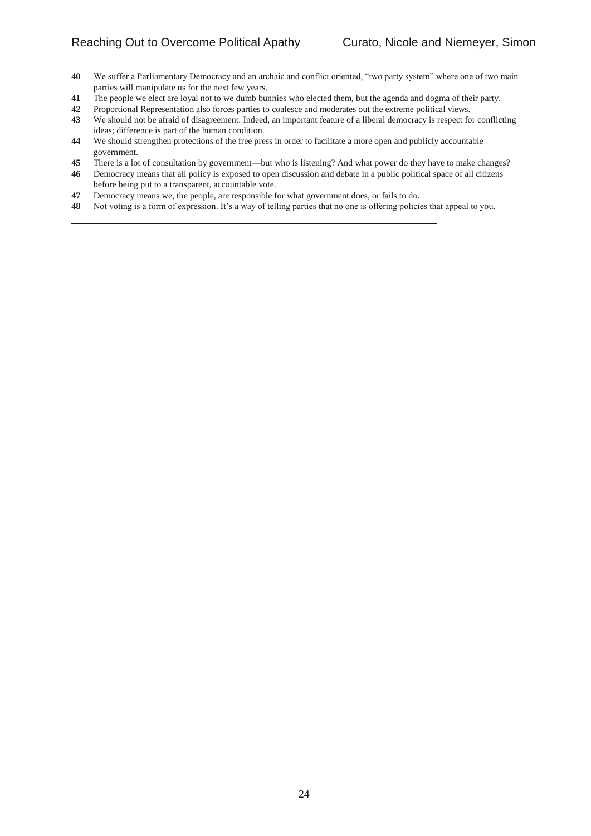- We suffer a Parliamentary Democracy and an archaic and conflict oriented, "two party system" where one of two main parties will manipulate us for the next few years.
- The people we elect are loyal not to we dumb bunnies who elected them, but the agenda and dogma of their party.
- Proportional Representation also forces parties to coalesce and moderates out the extreme political views.
- We should not be afraid of disagreement. Indeed, an important feature of a liberal democracy is respect for conflicting ideas; difference is part of the human condition.
- We should strengthen protections of the free press in order to facilitate a more open and publicly accountable government.
- There is a lot of consultation by government—but who is listening? And what power do they have to make changes?
- Democracy means that all policy is exposed to open discussion and debate in a public political space of all citizens before being put to a transparent, accountable vote.
- Democracy means we, the people, are responsible for what government does, or fails to do.
- Not voting is a form of expression. It's a way of telling parties that no one is offering policies that appeal to you.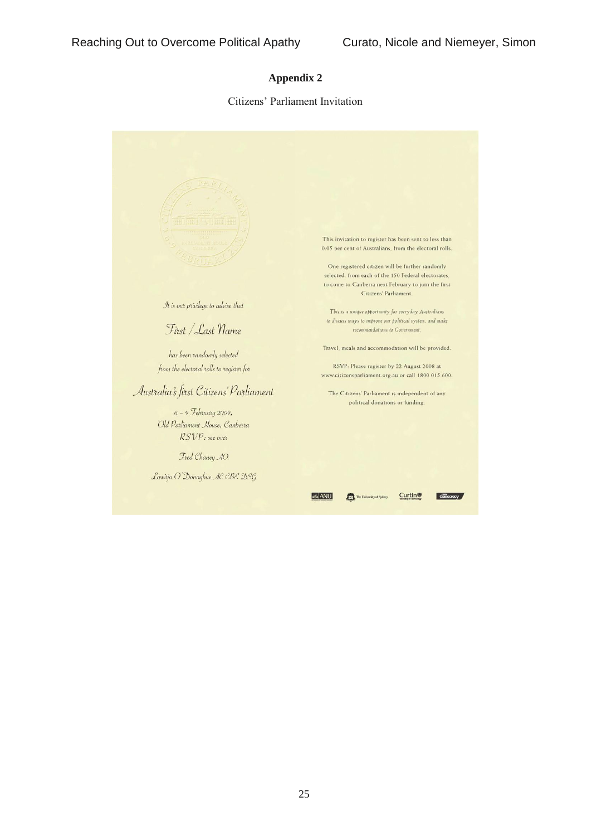## **Appendix 2**

#### Citizens' Parliament Invitation

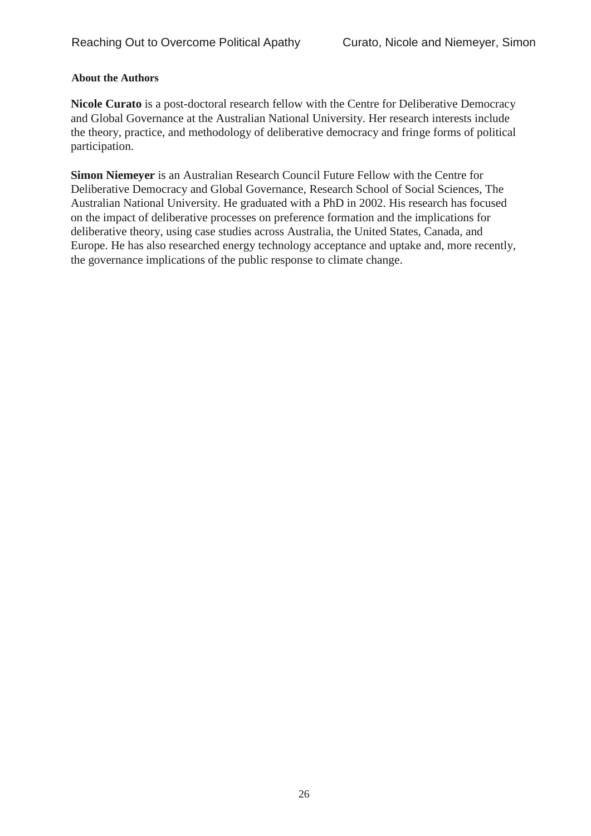## **About the Authors**

**Nicole Curato** is a post-doctoral research fellow with the Centre for Deliberative Democracy and Global Governance at the Australian National University. Her research interests include the theory, practice, and methodology of deliberative democracy and fringe forms of political participation.

**Simon Niemeyer** is an Australian Research Council Future Fellow with the Centre for Deliberative Democracy and Global Governance, Research School of Social Sciences, The Australian National University. He graduated with a PhD in 2002. His research has focused on the impact of deliberative processes on preference formation and the implications for deliberative theory, using case studies across Australia, the United States, Canada, and Europe. He has also researched energy technology acceptance and uptake and, more recently, the governance implications of the public response to climate change.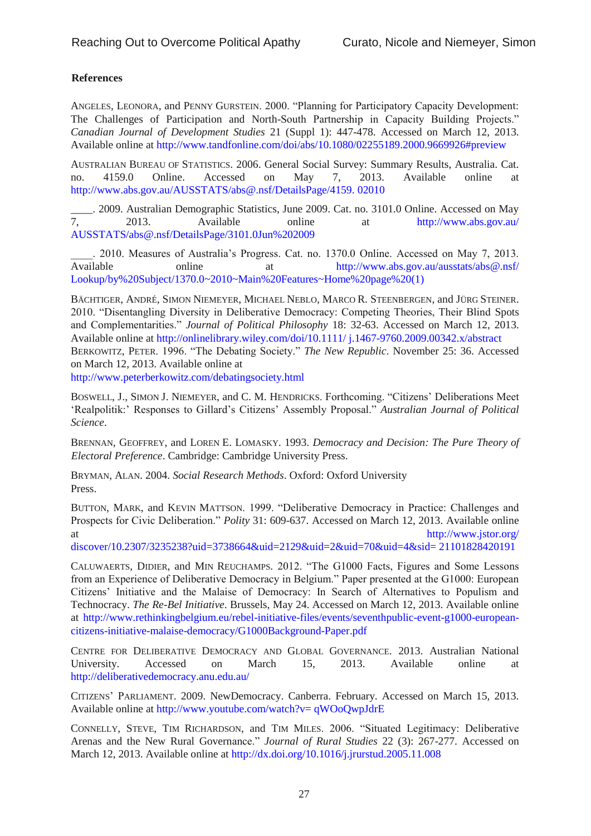## **References**

ANGELES, LEONORA, and PENNY GURSTEIN. 2000. "Planning for Participatory Capacity Development: The Challenges of Participation and North-South Partnership in Capacity Building Projects." *Canadian Journal of Development Studies* 21 (Suppl 1): 447-478. Accessed on March 12, 2013. Available online at<http://www.tandfonline.com/doi/abs/10.1080/02255189.2000.9669926#preview>

AUSTRALIAN BUREAU OF STATISTICS. 2006. General Social Survey: Summary Results, Australia. Cat. no. 4159.0 Online. Accessed on May 7, 2013. Available online at [http://www.abs.gov.au/AUSSTATS/abs@.nsf/DetailsPage/4159. 02010](http://www.abs.gov.au/AUSSTATS/abs@.nsf/DetailsPage/4159.02010)

2009. Australian Demographic Statistics, June 2009. Cat. no. 3101.0 Online. Accessed on May<br>7. 2013. Available online at http://www.abs.gov.au/ 2013. Available online at http://www.abs.gov.au/ [AUSSTATS/abs@.nsf/DetailsPage/3101.0Jun%202009](http://www.abs.gov.au/AUSSTATS/abs@.nsf/DetailsPage/3101.0Jun%202009)

\_\_\_\_. 2010. Measures of Australia's Progress. Cat. no. 1370.0 Online. Accessed on May 7, 2013. Available online at http://www.abs.gov.au/ausstats/abs@.nsf/ [Lookup/by%20Subject/1370.0~2010~Main%20Features~Home%20page%20\(1\)](http://www.abs.gov.au/ausstats/abs@.nsf/Lookup/by%20Subject/1370.0~2010~Main%20Features~Home%20page%20(1))

BÄCHTIGER, ANDRÉ, SIMON NIEMEYER, MICHAEL NEBLO, MARCO R. STEENBERGEN, and JÜRG STEINER. 2010. "Disentangling Diversity in Deliberative Democracy: Competing Theories, Their Blind Spots and Complementarities." *Journal of Political Philosophy* 18: 32-63. Accessed on March 12, 2013. Available online at [http://onlinelibrary.wiley.com/doi/10.1111/ j.1467-9760.2009.00342.x/abstract](http://onlinelibrary.wiley.com/doi/10.1111/j.1467-9760.2009.00342.x/abstract) BERKOWITZ, PETER. 1996. "The Debating Society." *The New Republic*. November 25: 36. Accessed on March 12, 2013. Available online at

<http://www.peterberkowitz.com/debatingsociety.html>

BOSWELL, J., SIMON J. NIEMEYER, and C. M. HENDRICKS. Forthcoming. "Citizens' Deliberations Meet 'Realpolitik:' Responses to Gillard's Citizens' Assembly Proposal." *Australian Journal of Political Science*.

BRENNAN, GEOFFREY, and LOREN E. LOMASKY. 1993. *Democracy and Decision: The Pure Theory of Electoral Preference*. Cambridge: Cambridge University Press.

BRYMAN, ALAN. 2004. *Social Research Methods*. Oxford: Oxford University Press.

BUTTON, MARK, and KEVIN MATTSON. 1999. "Deliberative Democracy in Practice: Challenges and Prospects for Civic Deliberation." *Polity* 31: 609-637. Accessed on March 12, 2013. Available online at http://www.jstor.org/

discover/10.2307/3235238?uid=3738664&uid=2129&uid=2&uid=70&uid=4&sid= 21101828420191

CALUWAERTS, DIDIER, and MIN REUCHAMPS. 2012. "The G1000 Facts, Figures and Some Lessons from an Experience of Deliberative Democracy in Belgium." Paper presented at the G1000: European Citizens' Initiative and the Malaise of Democracy: In Search of Alternatives to Populism and Technocracy. *The Re-Bel Initiative*. Brussels, May 24. Accessed on March 12, 2013. Available online at [http://www.rethinkingbelgium.eu/rebel-initiative-files/events/seventhpublic-event-g1000-european](http://www.rethinkingbelgium.eu/rebel-initiative-files/events/seventh-public-event-g1000-european-citizens-initiative-malaise-democracy/G1000-Background-Paper.pdf)[citizens-initiative-malaise-democracy/G1000Background-Paper.pdf](http://www.rethinkingbelgium.eu/rebel-initiative-files/events/seventh-public-event-g1000-european-citizens-initiative-malaise-democracy/G1000-Background-Paper.pdf)

CENTRE FOR DELIBERATIVE DEMOCRACY AND GLOBAL GOVERNANCE. 2013. Australian National University. Accessed on March 15, 2013. Available online at <http://deliberativedemocracy.anu.edu.au/>

CITIZENS' PARLIAMENT. 2009. NewDemocracy. Canberra. February. Accessed on March 15, 2013. Available online at [http://www.youtube.com/watch?v= qWOoQwpJdrE](http://www.youtube.com/watch?v=qWOoQwpJdrE)

CONNELLY, STEVE, TIM RICHARDSON, and TIM MILES. 2006. "Situated Legitimacy: Deliberative Arenas and the New Rural Governance." *Journal of Rural Studies* 22 (3): 267-277. Accessed on March 12, 2013. Available online at<http://dx.doi.org/10.1016/j.jrurstud.2005.11.008>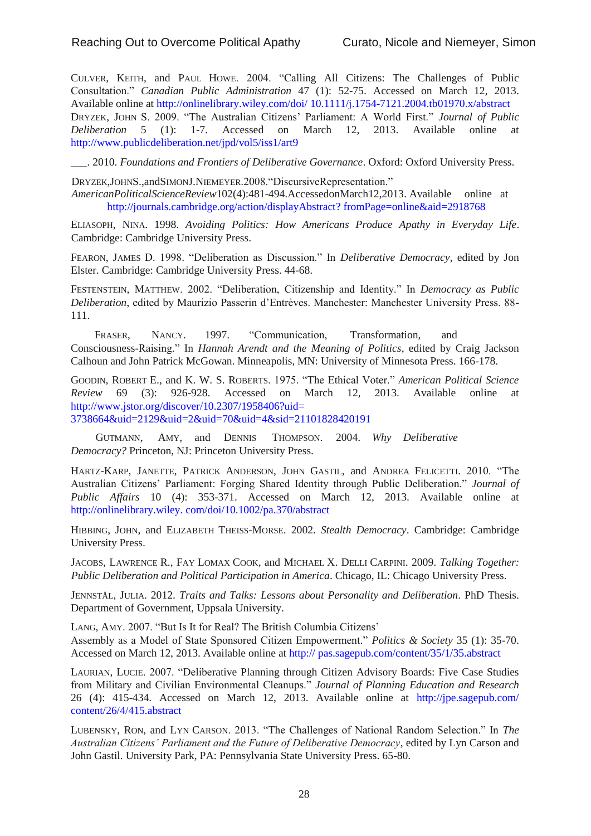CULVER, KEITH, and PAUL HOWE. 2004. "Calling All Citizens: The Challenges of Public Consultation." *Canadian Public Administration* 47 (1): 52-75. Accessed on March 12, 2013. Available online at [http://onlinelibrary.wiley.com/doi/ 10.1111/j.1754-7121.2004.tb01970.x/abstract](http://onlinelibrary.wiley.com/doi/10.1111/j.1754-7121.2004.tb01970.x/abstract) DRYZEK, JOHN S. 2009. "The Australian Citizens' Parliament: A World First." *Journal of Public Deliberation* 5 (1): 1-7. Accessed on March 12, 2013. Available online at <http://www.publicdeliberation.net/jpd/vol5/iss1/art9>

\_\_\_. 2010. *Foundations and Frontiers of Deliberative Governance*. Oxford: Oxford University Press.

DRYZEK,JOHNS.,andSIMONJ.NIEMEYER.2008."DiscursiveRepresentation." *AmericanPoliticalScienceReview*102(4):481-494.AccessedonMarch12,2013. Available online at http://journals.cambridge.org/action/displayAbstract? fromPage=online&aid=2918768

ELIASOPH, NINA. 1998. *Avoiding Politics: How Americans Produce Apathy in Everyday Life*. Cambridge: Cambridge University Press.

FEARON, JAMES D. 1998. "Deliberation as Discussion." In *Deliberative Democracy*, edited by Jon Elster. Cambridge: Cambridge University Press. 44-68.

FESTENSTEIN, MATTHEW. 2002. "Deliberation, Citizenship and Identity." In *Democracy as Public Deliberation*, edited by Maurizio Passerin d'Entrèves. Manchester: Manchester University Press. 88- 111.

FRASER, NANCY. 1997. "Communication, Transformation, and Consciousness-Raising." In *Hannah Arendt and the Meaning of Politics*, edited by Craig Jackson Calhoun and John Patrick McGowan. Minneapolis, MN: University of Minnesota Press. 166-178.

GOODIN, ROBERT E., and K. W. S. ROBERTS. 1975. "The Ethical Voter." *American Political Science Review* 69 (3): 926-928. Accessed on March 12, 2013. Available online at http://www.jstor.org/discover/10.2307/1958406?uid= 3738664&uid=2129&uid=2&uid=70&uid=4&sid=21101828420191

GUTMANN, AMY, and DENNIS THOMPSON. 2004. *Why Deliberative Democracy?* Princeton, NJ: Princeton University Press.

HARTZ-KARP, JANETTE, PATRICK ANDERSON, JOHN GASTIL, and ANDREA FELICETTI. 2010. "The Australian Citizens' Parliament: Forging Shared Identity through Public Deliberation." *Journal of Public Affairs* 10 (4): 353-371. Accessed on March 12, 2013. Available online at [http://onlinelibrary.wiley. com/doi/10.1002/pa.370/abstract](http://onlinelibrary.wiley.com/doi/10.1002/pa.370/abstract)

HIBBING, JOHN, and ELIZABETH THEISS-MORSE. 2002. *Stealth Democracy*. Cambridge: Cambridge University Press.

JACOBS, LAWRENCE R., FAY LOMAX COOK, and MICHAEL X. DELLI CARPINI. 2009. *Talking Together: Public Deliberation and Political Participation in America*. Chicago, IL: Chicago University Press.

JENNSTÅL, JULIA. 2012. *Traits and Talks: Lessons about Personality and Deliberation*. PhD Thesis. Department of Government, Uppsala University.

LANG, AMY. 2007. "But Is It for Real? The British Columbia Citizens'

Assembly as a Model of State Sponsored Citizen Empowerment." *Politics & Society* 35 (1): 35-70. Accessed on March 12, 2013. Available online at [http:// pas.sagepub.com/content/35/1/35.abstract](http://pas.sagepub.com/content/35/1/35.abstract)

LAURIAN, LUCIE. 2007. "Deliberative Planning through Citizen Advisory Boards: Five Case Studies from Military and Civilian Environmental Cleanups." *Journal of Planning Education and Research*  26 (4): 415-434. Accessed on March 12, 2013. Available online at [http://jpe.sagepub.com/](http://jpe.sagepub.com/content/26/4/415.abstract)  [content/26/4/415.abstract](http://jpe.sagepub.com/content/26/4/415.abstract)

LUBENSKY, RON, and LYN CARSON. 2013. "The Challenges of National Random Selection." In *The Australian Citizens' Parliament and the Future of Deliberative Democracy*, edited by Lyn Carson and John Gastil. University Park, PA: Pennsylvania State University Press. 65-80.